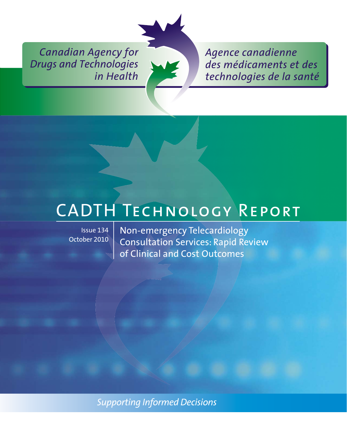*Canadian Agency for Drugs and Technologies in Health*



*Agence canadienne des médicaments et des technologies de la santé*

Issue 134 October 2010

END TECHNOLOGY<br>
Issue 134 Non-emergency Telecardiology Consultation Services: Rapid Review of Clinical and Cost Outcomes

*Supporting Informed Decisions*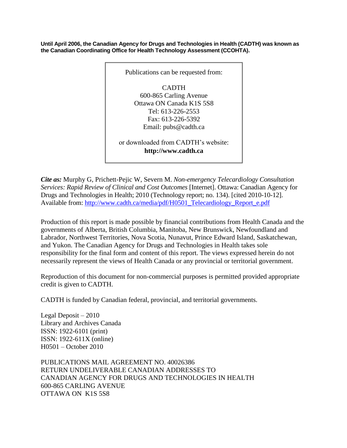**Until April 2006, the Canadian Agency for Drugs and Technologies in Health (CADTH) was known as the Canadian Coordinating Office for Health Technology Assessment (CCOHTA).**



*Cite as:* Murphy G, Prichett-Pejic W, Severn M. *Non-emergency Telecardiology Consultation Services: Rapid Review of Clinical and Cost Outcomes* [Internet]. Ottawa: Canadian Agency for Drugs and Technologies in Health; 2010 (Technology report; no. 134). [cited 2010-10-12]. Available from: [http://www.cadth.ca/media/pdf/H0501\\_Telecardiology\\_Report\\_e.pdf](http://www.cadth.ca/media/pdf/H0501_Telecardiology_Report_e.pdf)

Production of this report is made possible by financial contributions from Health Canada and the governments of Alberta, British Columbia, Manitoba, New Brunswick, Newfoundland and Labrador, Northwest Territories, Nova Scotia, Nunavut, Prince Edward Island, Saskatchewan, and Yukon. The Canadian Agency for Drugs and Technologies in Health takes sole responsibility for the final form and content of this report. The views expressed herein do not necessarily represent the views of Health Canada or any provincial or territorial government.

Reproduction of this document for non-commercial purposes is permitted provided appropriate credit is given to CADTH.

CADTH is funded by Canadian federal, provincial, and territorial governments.

Legal Deposit – 2010 Library and Archives Canada ISSN: 1922-6101 (print) ISSN: 1922-611X (online) H0501 – October 2010

PUBLICATIONS MAIL AGREEMENT NO. 40026386 RETURN UNDELIVERABLE CANADIAN ADDRESSES TO CANADIAN AGENCY FOR DRUGS AND TECHNOLOGIES IN HEALTH 600-865 CARLING AVENUE OTTAWA ON K1S 5S8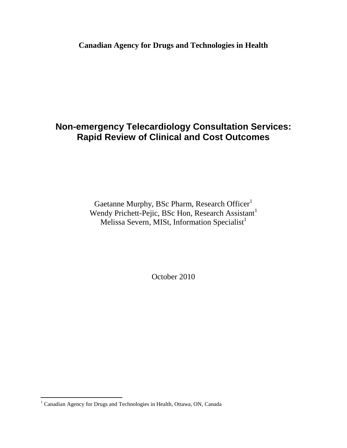**Canadian Agency for Drugs and Technologies in Health**

### **Non-emergency Telecardiology Consultation Services: Rapid Review of Clinical and Cost Outcomes**

Gaetanne Murphy, BSc Pharm, Research Officer<sup>1</sup> Wendy Prichett-Pejic, BSc Hon, Research Assistant<sup>1</sup> Melissa Severn, MISt, Information Specialist<sup>1</sup>

October 2010

 $\overline{a}$ 

 $1$  Canadian Agency for Drugs and Technologies in Health, Ottawa, ON, Canada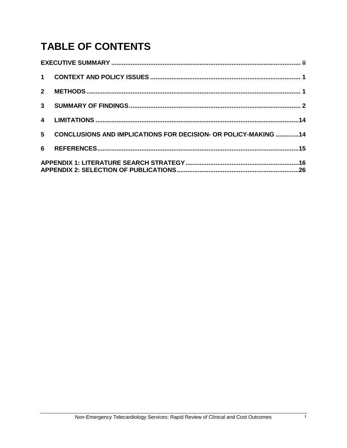# **TABLE OF CONTENTS**

| $2^{\circ}$    |                                                                |  |
|----------------|----------------------------------------------------------------|--|
| 3 <sup>7</sup> |                                                                |  |
|                |                                                                |  |
| 5 <sup>5</sup> | CONCLUSIONS AND IMPLICATIONS FOR DECISION- OR POLICY-MAKING 14 |  |
| 6              |                                                                |  |
|                |                                                                |  |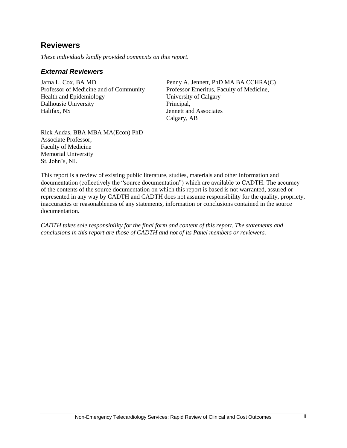### <span id="page-4-0"></span>**Reviewers**

*These individuals kindly provided comments on this report.*

#### *External Reviewers*

Jafna L. Cox, BA MD Professor of Medicine and of Community Health and Epidemiology Dalhousie University Halifax, NS

Penny A. Jennett, PhD MA BA CCHRA(C) Professor Emeritus, Faculty of Medicine, University of Calgary Principal, Jennett and Associates Calgary, AB

Rick Audas, BBA MBA MA(Econ) PhD Associate Professor, Faculty of Medicine Memorial University St. John's, NL

This report is a review of existing public literature, studies, materials and other information and documentation (collectively the "source documentation") which are available to CADTH. The accuracy of the contents of the source documentation on which this report is based is not warranted, assured or represented in any way by CADTH and CADTH does not assume responsibility for the quality, propriety, inaccuracies or reasonableness of any statements, information or conclusions contained in the source documentation.

*CADTH takes sole responsibility for the final form and content of this report. The statements and conclusions in this report are those of CADTH and not of its Panel members or reviewers.*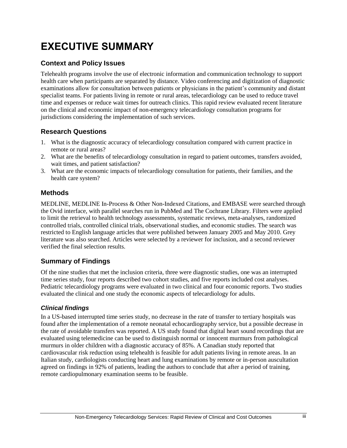# **EXECUTIVE SUMMARY**

#### **Context and Policy Issues**

Telehealth programs involve the use of electronic information and communication technology to support health care when participants are separated by distance. Video conferencing and digitization of diagnostic examinations allow for consultation between patients or physicians in the patient's community and distant specialist teams. For patients living in remote or rural areas, telecardiology can be used to reduce travel time and expenses or reduce wait times for outreach clinics. This rapid review evaluated recent literature on the clinical and economic impact of non-emergency telecardiology consultation programs for jurisdictions considering the implementation of such services.

#### **Research Questions**

- 1. What is the diagnostic accuracy of telecardiology consultation compared with current practice in remote or rural areas?
- 2. What are the benefits of telecardiology consultation in regard to patient outcomes, transfers avoided, wait times, and patient satisfaction?
- 3. What are the economic impacts of telecardiology consultation for patients, their families, and the health care system?

#### **Methods**

MEDLINE, MEDLINE In-Process & Other Non-Indexed Citations, and EMBASE were searched through the Ovid interface, with parallel searches run in PubMed and The Cochrane Library. Filters were applied to limit the retrieval to health technology assessments, systematic reviews, meta-analyses, randomized controlled trials, controlled clinical trials, observational studies, and economic studies. The search was restricted to English language articles that were published between January 2005 and May 2010. Grey literature was also searched. Articles were selected by a reviewer for inclusion, and a second reviewer verified the final selection results.

#### **Summary of Findings**

Of the nine studies that met the inclusion criteria, three were diagnostic studies, one was an interrupted time series study, four reports described two cohort studies, and five reports included cost analyses. Pediatric telecardiology programs were evaluated in two clinical and four economic reports. Two studies evaluated the clinical and one study the economic aspects of telecardiology for adults.

#### *Clinical findings*

In a US-based interrupted time series study, no decrease in the rate of transfer to tertiary hospitals was found after the implementation of a remote neonatal echocardiography service, but a possible decrease in the rate of avoidable transfers was reported. A US study found that digital heart sound recordings that are evaluated using telemedicine can be used to distinguish normal or innocent murmurs from pathological murmurs in older children with a diagnostic accuracy of 85%. A Canadian study reported that cardiovascular risk reduction using telehealth is feasible for adult patients living in remote areas. In an Italian study, cardiologists conducting heart and lung examinations by remote or in-person auscultation agreed on findings in 92% of patients, leading the authors to conclude that after a period of training, remote cardiopulmonary examination seems to be feasible.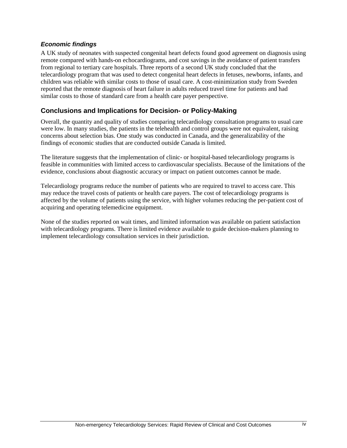#### *Economic findings*

A UK study of neonates with suspected congenital heart defects found good agreement on diagnosis using remote compared with hands-on echocardiograms, and cost savings in the avoidance of patient transfers from regional to tertiary care hospitals. Three reports of a second UK study concluded that the telecardiology program that was used to detect congenital heart defects in fetuses, newborns, infants, and children was reliable with similar costs to those of usual care. A cost-minimization study from Sweden reported that the remote diagnosis of heart failure in adults reduced travel time for patients and had similar costs to those of standard care from a health care payer perspective.

#### **Conclusions and Implications for Decision- or Policy-Making**

Overall, the quantity and quality of studies comparing telecardiology consultation programs to usual care were low. In many studies, the patients in the telehealth and control groups were not equivalent, raising concerns about selection bias. One study was conducted in Canada, and the generalizability of the findings of economic studies that are conducted outside Canada is limited.

The literature suggests that the implementation of clinic- or hospital-based telecardiology programs is feasible in communities with limited access to cardiovascular specialists. Because of the limitations of the evidence, conclusions about diagnostic accuracy or impact on patient outcomes cannot be made.

Telecardiology programs reduce the number of patients who are required to travel to access care. This may reduce the travel costs of patients or health care payers. The cost of telecardiology programs is affected by the volume of patients using the service, with higher volumes reducing the per-patient cost of acquiring and operating telemedicine equipment.

None of the studies reported on wait times, and limited information was available on patient satisfaction with telecardiology programs. There is limited evidence available to guide decision-makers planning to implement telecardiology consultation services in their jurisdiction.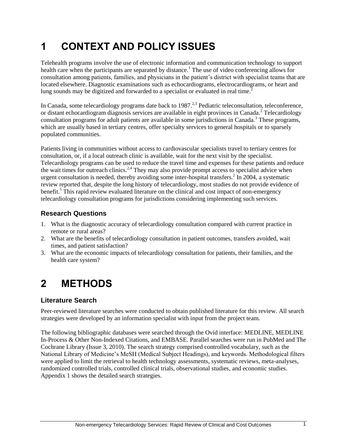# <span id="page-7-0"></span>**1 CONTEXT AND POLICY ISSUES**

Telehealth programs involve the use of electronic information and communication technology to support health care when the participants are separated by distance.<sup>1</sup> The use of video conferencing allows for consultation among patients, families, and physicians in the patient's district with specialist teams that are located elsewhere. Diagnostic examinations such as echocardiograms, electrocardiograms, or heart and lung sounds may be digitized and forwarded to a specialist or evaluated in real time.<sup>2</sup>

In Canada, some telecardiology programs date back to  $1987<sup>2,3</sup>$  Pediatric teleconsultation, teleconference, or distant echocardiogram diagnosis services are available in eight provinces in Canada.<sup>2</sup> Telecardiology consultation programs for adult patients are available in some jurisdictions in Canada.<sup>3</sup> These programs, which are usually based in tertiary centres, offer specialty services to general hospitals or to sparsely populated communities.

Patients living in communities without access to cardiovascular specialists travel to tertiary centres for consultation, or, if a local outreach clinic is available, wait for the next visit by the specialist. Telecardiology programs can be used to reduce the travel time and expenses for these patients and reduce the wait times for outreach clinics.<sup>2,4</sup> They may also provide prompt access to specialist advice when urgent consultation is needed, thereby avoiding some inter-hospital transfers.<sup>2</sup> In 2004, a systematic review reported that, despite the long history of telecardiology, most studies do not provide evidence of benefit.<sup>5</sup> This rapid review evaluated literature on the clinical and cost impact of non-emergency telecardiology consultation programs for jurisdictions considering implementing such services.

#### **Research Questions**

- 1. What is the diagnostic accuracy of telecardiology consultation compared with current practice in remote or rural areas?
- 2. What are the benefits of telecardiology consultation in patient outcomes, transfers avoided, wait times, and patient satisfaction?
- 3. What are the economic impacts of telecardiology consultation for patients, their families, and the health care system?

### <span id="page-7-1"></span>**2 METHODS**

#### **Literature Search**

Peer-reviewed literature searches were conducted to obtain published literature for this review. All search strategies were developed by an information specialist with input from the project team.

The following bibliographic databases were searched through the Ovid interface: MEDLINE, MEDLINE In-Process & Other Non-Indexed Citations, and EMBASE. Parallel searches were run in PubMed and The Cochrane Library (Issue 3, 2010). The search strategy comprised controlled vocabulary, such as the National Library of Medicine's MeSH (Medical Subject Headings), and keywords. Methodological filters were applied to limit the retrieval to health technology assessments, systematic reviews, meta-analyses, randomized controlled trials, controlled clinical trials, observational studies, and economic studies. Appendix 1 shows the detailed search strategies.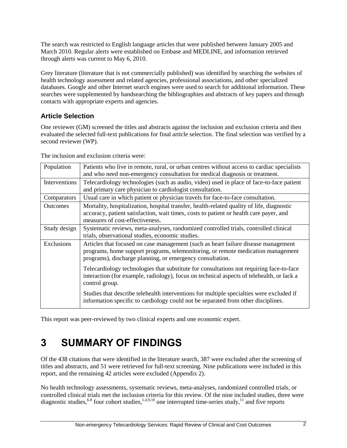The search was restricted to English language articles that were published between January 2005 and March 2010. Regular alerts were established on Embase and MEDLINE, and information retrieved through alerts was current to May 6, 2010.

Grey literature (literature that is not commercially published) was identified by searching the websites of health technology assessment and related agencies, professional associations, and other specialized databases. Google and other Internet search engines were used to search for additional information. These searches were supplemented by handsearching the bibliographies and abstracts of key papers and through contacts with appropriate experts and agencies.

#### **Article Selection**

One reviewer (GM) screened the titles and abstracts against the inclusion and exclusion criteria and then evaluated the selected full-text publications for final article selection. The final selection was verified by a second reviewer (WP).

| Population      | Patients who live in remote, rural, or urban centres without access to cardiac specialists<br>and who need non-emergency consultation for medical diagnosis or treatment.                                                           |
|-----------------|-------------------------------------------------------------------------------------------------------------------------------------------------------------------------------------------------------------------------------------|
| Interventions   | Telecardiology technologies (such as audio, video) used in place of face-to-face patient<br>and primary care physician to cardiologist consultation.                                                                                |
| Comparators     | Usual care in which patient or physician travels for face-to-face consultation.                                                                                                                                                     |
| <b>Outcomes</b> | Mortality, hospitalization, hospital transfer, health-related quality of life, diagnostic<br>accuracy, patient satisfaction, wait times, costs to patient or health care payer, and<br>measures of cost-effectiveness.              |
| Study design    | Systematic reviews, meta-analyses, randomized controlled trials, controlled clinical<br>trials, observational studies, economic studies.                                                                                            |
| Exclusions      | Articles that focused on case management (such as heart failure disease management<br>programs, home support programs, telemonitoring, or remote medication management<br>programs), discharge planning, or emergency consultation. |
|                 | Telecardiology technologies that substitute for consultations not requiring face-to-face<br>interaction (for example, radiology), focus on technical aspects of telehealth, or lack a<br>control group.                             |
|                 | Studies that describe telehealth interventions for multiple specialties were excluded if<br>information specific to cardiology could not be separated from other disciplines.                                                       |

The inclusion and exclusion criteria were:

This report was peer-reviewed by two clinical experts and one economic expert.

### <span id="page-8-0"></span>**3 SUMMARY OF FINDINGS**

Of the 438 citations that were identified in the literature search, 387 were excluded after the screening of titles and abstracts, and 51 were retrieved for full-text screening. Nine publications were included in this report, and the remaining 42 articles were excluded (Appendix 2).

No health technology assessments, systematic reviews, meta-analyses, randomized controlled trials, or controlled clinical trials met the inclusion criteria for this review. Of the nine included studies, three were diagnostic studies,  $6-8$  four cohort studies,  $1,4,9,10$  one interrupted time-series study,  $11$  and five reports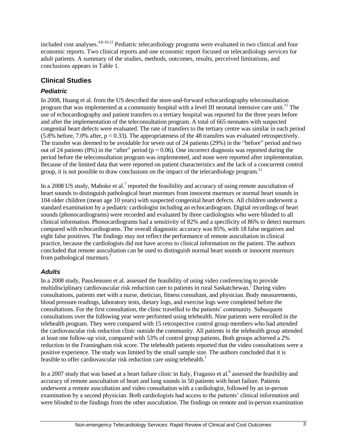included cost analyses.  $4,8-10,12$  Pediatric telecardiology programs were evaluated in two clinical and four economic reports. Two clinical reports and one economic report focused on telecardiology services for adult patients. A summary of the studies, methods, outcomes, results, perceived limitations, and conclusions appears in Table 1.

#### **Clinical Studies**

#### *Pediatric*

In 2008, Huang et al. from the US described the store-and-forward echocardiography teleconsultation program that was implemented at a community hospital with a level III neonatal intensive care unit.<sup>11</sup> The use of echocardiography and patient transfers to a tertiary hospital was reported for the three years before and after the implementation of the teleconsultation program. A total of 665 neonates with suspected congenital heart defects were evaluated. The rate of transfers to the tertiary centre was similar in each period  $(5.8\% \text{ before}, 7.0\% \text{ after}, p = 0.33)$ . The appropriateness of the 48 transfers was evaluated retrospectively. The transfer was deemed to be avoidable for seven out of 24 patients (29%) in the "before" period and two out of 24 patients (8%) in the "after" period ( $p = 0.06$ ). One incorrect diagnosis was reported during the period before the teleconsultation program was implemented, and none were reported after implementation. Because of the limited data that were reported on patient characteristics and the lack of a concurrent control group, it is not possible to draw conclusions on the impact of the telecardiology program.<sup>11</sup>

In a 2008 US study, Mahnke et al.<sup>7</sup> reported the feasibility and accuracy of using remote auscultation of heart sounds to distinguish pathological heart murmurs from innocent murmurs or normal heart sounds in 104 older children (mean age 10 years) with suspected congenital heart defects. All children underwent a standard examination by a pediatric cardiologist including an echocardiogram. Digital recordings of heart sounds (phonocardiograms) were recorded and evaluated by three cardiologists who were blinded to all clinical information. Phonocardiograms had a sensitivity of 82% and a specificity of 86% to detect murmurs compared with echocardiograms. The overall diagnostic accuracy was 85%, with 18 false negatives and eight false positives. The findings may not reflect the performance of remote auscultation in clinical practice, because the cardiologists did not have access to clinical information on the patient. The authors concluded that remote auscultation can be used to distinguish normal heart sounds or innocent murmurs from pathological murmurs.<sup>7</sup>

#### *Adults*

In a 2008 study, PausJenssen et al. assessed the feasibility of using video conferencing to provide multidisciplinary cardiovascular risk reduction care to patients in rural Saskatchewan.<sup>1</sup> During video consultations, patients met with a nurse, dietician, fitness consultant, and physician. Body measurements, blood pressure readings, laboratory tests, dietary logs, and exercise logs were completed before the consultations. For the first consultation, the clinic travelled to the patients' community. Subsequent consultations over the following year were performed using telehealth. Nine patients were enrolled in the telehealth program. They were compared with 15 retrospective control group members who had attended the cardiovascular risk reduction clinic outside the community. All patients in the telehealth group attended at least one follow-up visit, compared with 53% of control group patients. Both groups achieved a 2% reduction in the Framingham risk score. The telehealth patients reported that the video consultations were a positive experience. The study was limited by the small sample size. The authors concluded that it is feasible to offer cardiovascular risk reduction care using telehealth.<sup>1</sup>

In a 2007 study that was based at a heart failure clinic in Italy, Fragasso et al.<sup>6</sup> assessed the feasibility and accuracy of remote auscultation of heart and lung sounds in 50 patients with heart failure. Patients underwent a remote auscultation and video consultation with a cardiologist, followed by an in-person examination by a second physician. Both cardiologists had access to the patients' clinical information and were blinded to the findings from the other auscultation. The findings on remote and in-person examination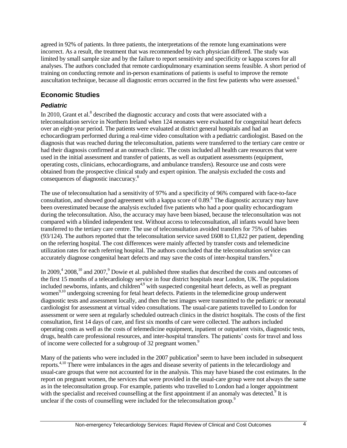agreed in 92% of patients. In three patients, the interpretations of the remote lung examinations were incorrect. As a result, the treatment that was recommended by each physician differed. The study was limited by small sample size and by the failure to report sensitivity and specificity or kappa scores for all analyses. The authors concluded that remote cardiopulmonary examination seems feasible. A short period of training on conducting remote and in-person examinations of patients is useful to improve the remote auscultation technique, because all diagnostic errors occurred in the first few patients who were assessed.<sup>6</sup>

#### **Economic Studies**

#### *Pediatric*

In 2010, Grant et al. $<sup>8</sup>$  described the diagnostic accuracy and costs that were associated with a</sup> teleconsultation service in Northern Ireland when 124 neonates were evaluated for congenital heart defects over an eight-year period. The patients were evaluated at district general hospitals and had an echocardiogram performed during a real-time video consultation with a pediatric cardiologist. Based on the diagnosis that was reached during the teleconsultation, patients were transferred to the tertiary care centre or had their diagnosis confirmed at an outreach clinic. The costs included all health care resources that were used in the initial assessment and transfer of patients, as well as outpatient assessments (equipment, operating costs, clinicians, echocardiograms, and ambulance transfers). Resource use and costs were obtained from the prospective clinical study and expert opinion. The analysis excluded the costs and consequences of diagnostic inaccuracy.<sup>8</sup>

The use of teleconsultation had a sensitivity of 97% and a specificity of 96% compared with face-to-face consultation, and showed good agreement with a kappa score of 0.89.<sup>8</sup> The diagnostic accuracy may have been overestimated because the analysis excluded five patients who had a poor quality echocardiogram during the teleconsultation. Also, the accuracy may have been biased, because the teleconsultation was not compared with a blinded independent test. Without access to teleconsultation, all infants would have been transferred to the tertiary care centre. The use of teleconsultation avoided transfers for 75% of babies (93/124). The authors reported that the teleconsultation service saved £608 to £1,822 per patient, depending on the referring hospital. The cost differences were mainly affected by transfer costs and telemedicine utilization rates for each referring hospital. The authors concluded that the teleconsultation service can accurately diagnose congenital heart defects and may save the costs of inter-hospital transfers.<sup>8</sup>

In 2009,<sup>4</sup> 2008,<sup>10</sup> and 2007,<sup>9</sup> Dowie et al. published three studies that described the costs and outcomes of the first 15 months of a telecardiology service in four district hospitals near London, UK. The populations included newborns, infants, and children<sup>4,9</sup> with suspected congenital heart defects, as well as pregnant women<sup>9,10</sup> undergoing screening for fetal heart defects. Patients in the telemedicine group underwent diagnostic tests and assessment locally, and then the test images were transmitted to the pediatric or neonatal cardiologist for assessment at virtual video consultations. The usual-care patients travelled to London for assessment or were seen at regularly scheduled outreach clinics in the district hospitals. The costs of the first consultation, first 14 days of care, and first six months of care were collected. The authors included operating costs as well as the costs of telemedicine equipment, inpatient or outpatient visits, diagnostic tests, drugs, health care professional resources, and inter-hospital transfers. The patients' costs for travel and loss of income were collected for a subgroup of 32 pregnant women.<sup>9</sup>

Many of the patients who were included in the 2007 publication<sup>9</sup> seem to have been included in subsequent reports.4,10 There were imbalances in the ages and disease severity of patients in the telecardiology and usual-care groups that were not accounted for in the analysis. This may have biased the cost estimates. In the report on pregnant women, the services that were provided in the usual-care group were not always the same as in the teleconsultation group. For example, patients who travelled to London had a longer appointment with the specialist and received counselling at the first appointment if an anomaly was detected.<sup>9</sup> It is unclear if the costs of counselling were included for the teleconsultation group.<sup>9</sup>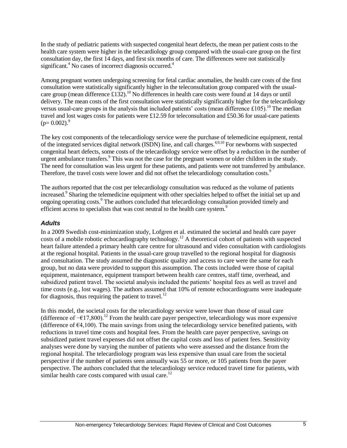In the study of pediatric patients with suspected congenital heart defects, the mean per patient costs to the health care system were higher in the telecardiology group compared with the usual-care group on the first consultation day, the first 14 days, and first six months of care. The differences were not statistically significant.<sup>4</sup> No cases of incorrect diagnosis occurred.<sup>4</sup>

Among pregnant women undergoing screening for fetal cardiac anomalies, the health care costs of the first consultation were statistically significantly higher in the teleconsultation group compared with the usualcare group (mean difference £132).<sup>10</sup> No differences in health care costs were found at 14 days or until delivery. The mean costs of the first consultation were statistically significantly higher for the telecardiology versus usual-care groups in the analysis that included patients' costs (mean difference £105).<sup>10</sup> The median travel and lost wages costs for patients were £12.59 for teleconsultation and £50.36 for usual-care patients  $(p= 0.002)^9$ 

The key cost components of the telecardiology service were the purchase of telemedicine equipment, rental of the integrated services digital network (ISDN) line, and call charges.4,9,10 For newborns with suspected congenital heart defects, some costs of the telecardiology service were offset by a reduction in the number of urgent ambulance transfers.<sup>9</sup> This was not the case for the pregnant women or older children in the study. The need for consultation was less urgent for these patients, and patients were not transferred by ambulance. Therefore, the travel costs were lower and did not offset the telecardiology consultation costs.<sup>9</sup>

The authors reported that the cost per telecardiology consultation was reduced as the volume of patients increased.<sup>9</sup> Sharing the telemedicine equipment with other specialties helped to offset the initial set up and ongoing operating costs.<sup>9</sup> The authors concluded that telecardiology consultation provided timely and efficient access to specialists that was cost neutral to the health care system.<sup>9</sup>

#### *Adults*

In a 2009 Swedish cost-minimization study, Lofgren et al. estimated the societal and health care payer costs of a mobile robotic echocardiography technology.<sup>12</sup> A theoretical cohort of patients with suspected heart failure attended a primary health care centre for ultrasound and video consultation with cardiologists at the regional hospital. Patients in the usual-care group travelled to the regional hospital for diagnosis and consultation. The study assumed the diagnostic quality and access to care were the same for each group, but no data were provided to support this assumption. The costs included were those of capital equipment, maintenance, equipment transport between health care centres, staff time, overhead, and subsidized patient travel. The societal analysis included the patients' hospital fees as well as travel and time costs (e.g., lost wages). The authors assumed that 10% of remote echocardiograms were inadequate for diagnosis, thus requiring the patient to travel. $^{12}$ 

In this model, the societal costs for the telecardiology service were lower than those of usual care (difference of −€17,800).<sup>12</sup> From the health care payer perspective, telecardiology was more expensive (difference of  $\epsilon$ 4,100). The main savings from using the telecardiology service benefited patients, with reductions in travel time costs and hospital fees. From the health care payer perspective, savings on subsidized patient travel expenses did not offset the capital costs and loss of patient fees. Sensitivity analyses were done by varying the number of patients who were assessed and the distance from the regional hospital. The telecardiology program was less expensive than usual care from the societal perspective if the number of patients seen annually was 55 or more, or 105 patients from the payer perspective. The authors concluded that the telecardiology service reduced travel time for patients, with similar health care costs compared with usual care.<sup>12</sup>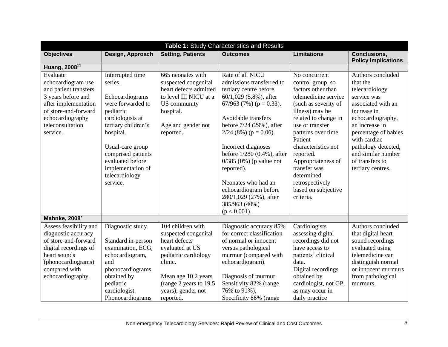| Design, Approach<br>Interrupted time<br>Echocardiograms<br>were forwarded to<br>US community<br>pediatric<br>hospital.<br>cardiologists at<br>tertiary children's | <b>Setting, Patients</b><br><b>Outcomes</b><br>665 neonates with<br>Rate of all NICU<br>suspected congenital<br>admissions transferred to<br>heart defects admitted<br>tertiary centre before<br>to level III NICU at a<br>$60/1,029$ (5.8%), after<br>67/963 (7%) ( $p = 0.33$ ).                             | <b>Limitations</b><br>No concurrent<br>control group, so<br>factors other than<br>telemedicine service<br>(such as severity of                                                                                                              | <b>Conclusions,</b><br><b>Policy Implications</b><br>Authors concluded<br>that the<br>telecardiology<br>service was                                                                                                                                                                                                                                      |
|-------------------------------------------------------------------------------------------------------------------------------------------------------------------|----------------------------------------------------------------------------------------------------------------------------------------------------------------------------------------------------------------------------------------------------------------------------------------------------------------|---------------------------------------------------------------------------------------------------------------------------------------------------------------------------------------------------------------------------------------------|----------------------------------------------------------------------------------------------------------------------------------------------------------------------------------------------------------------------------------------------------------------------------------------------------------------------------------------------------------|
|                                                                                                                                                                   |                                                                                                                                                                                                                                                                                                                |                                                                                                                                                                                                                                             |                                                                                                                                                                                                                                                                                                                                                          |
|                                                                                                                                                                   |                                                                                                                                                                                                                                                                                                                |                                                                                                                                                                                                                                             |                                                                                                                                                                                                                                                                                                                                                          |
| hospital.<br>reported.<br>Usual-care group<br>comprised patients<br>evaluated before<br>implementation of<br>telecardiology                                       | Avoidable transfers<br>before 7/24 (29%), after<br>Age and gender not<br>$2/24$ (8%) (p = 0.06).<br>Incorrect diagnoses<br>before 1/280 (0.4%), after<br>$0/385$ (0%) (p value not<br>reported).<br>Neonates who had an<br>echocardiogram before<br>280/1,029 (27%), after<br>385/963 (40%)<br>$(p < 0.001)$ . | illness) may be<br>related to change in<br>use or transfer<br>patterns over time.<br>Patient<br>characteristics not<br>reported.<br>Appropriateness of<br>transfer was<br>determined<br>retrospectively<br>based on subjective<br>criteria. | associated with an<br>increase in<br>echocardiography,<br>an increase in<br>percentage of babies<br>with cardiac<br>pathology detected,<br>and similar number<br>of transfers to<br>tertiary centres.                                                                                                                                                    |
|                                                                                                                                                                   |                                                                                                                                                                                                                                                                                                                |                                                                                                                                                                                                                                             | Authors concluded                                                                                                                                                                                                                                                                                                                                        |
| Standard in-person<br>examination, ECG,<br>echocardiogram,<br>clinic.<br>phonocardiograms                                                                         | echocardiogram).                                                                                                                                                                                                                                                                                               | assessing digital<br>recordings did not<br>have access to<br>patients' clinical<br>data.<br>Digital recordings<br>obtained by<br>cardiologist, not GP,                                                                                      | that digital heart<br>sound recordings<br>evaluated using<br>telemedicine can<br>distinguish normal<br>or innocent murmurs<br>from pathological<br>murmurs.                                                                                                                                                                                              |
|                                                                                                                                                                   | Diagnostic study.<br>obtained by<br>pediatric                                                                                                                                                                                                                                                                  | 104 children with<br>suspected congenital<br>heart defects<br>evaluated at US<br>pediatric cardiology<br>Mean age 10.2 years<br>(range 2 years to 19.5)                                                                                     | Cardiologists<br>Diagnostic accuracy 85%<br>for correct classification<br>of normal or innocent<br>versus pathological<br>murmur (compared with<br>Diagnosis of murmur.<br>Sensitivity 82% (range<br>cardiologist.<br>years); gender not<br>76% to 91%),<br>as may occur in<br>Phonocardiograms<br>Specificity 86% (range<br>reported.<br>daily practice |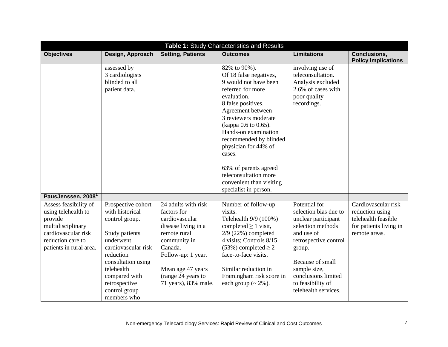| Table 1: Study Characteristics and Results                                                                                                          |                                                                                                                                                                                                                                  |                                                                                                                                                                                                                 |                                                                                                                                                                                                                                                                                                                                                                                           |                                                                                                                                                                                                                                             |                                                                                                          |
|-----------------------------------------------------------------------------------------------------------------------------------------------------|----------------------------------------------------------------------------------------------------------------------------------------------------------------------------------------------------------------------------------|-----------------------------------------------------------------------------------------------------------------------------------------------------------------------------------------------------------------|-------------------------------------------------------------------------------------------------------------------------------------------------------------------------------------------------------------------------------------------------------------------------------------------------------------------------------------------------------------------------------------------|---------------------------------------------------------------------------------------------------------------------------------------------------------------------------------------------------------------------------------------------|----------------------------------------------------------------------------------------------------------|
| <b>Objectives</b>                                                                                                                                   | Design, Approach                                                                                                                                                                                                                 | <b>Setting, Patients</b>                                                                                                                                                                                        | <b>Outcomes</b>                                                                                                                                                                                                                                                                                                                                                                           | <b>Limitations</b>                                                                                                                                                                                                                          | Conclusions,<br><b>Policy Implications</b>                                                               |
|                                                                                                                                                     | assessed by<br>3 cardiologists<br>blinded to all<br>patient data.                                                                                                                                                                |                                                                                                                                                                                                                 | 82% to 90%).<br>Of 18 false negatives,<br>9 would not have been<br>referred for more<br>evaluation.<br>8 false positives.<br>Agreement between<br>3 reviewers moderate<br>(kappa 0.6 to 0.65).<br>Hands-on examination<br>recommended by blinded<br>physician for 44% of<br>cases.<br>63% of parents agreed<br>teleconsultation more<br>convenient than visiting<br>specialist in-person. | involving use of<br>teleconsultation.<br>Analysis excluded<br>2.6% of cases with<br>poor quality<br>recordings.                                                                                                                             |                                                                                                          |
| PausJenssen, 2008 <sup>1</sup>                                                                                                                      |                                                                                                                                                                                                                                  |                                                                                                                                                                                                                 |                                                                                                                                                                                                                                                                                                                                                                                           |                                                                                                                                                                                                                                             |                                                                                                          |
| Assess feasibility of<br>using telehealth to<br>provide<br>multidisciplinary<br>cardiovascular risk<br>reduction care to<br>patients in rural area. | Prospective cohort<br>with historical<br>control group.<br>Study patients<br>underwent<br>cardiovascular risk<br>reduction<br>consultation using<br>telehealth<br>compared with<br>retrospective<br>control group<br>members who | 24 adults with risk<br>factors for<br>cardiovascular<br>disease living in a<br>remote rural<br>community in<br>Canada.<br>Follow-up: 1 year.<br>Mean age 47 years<br>(range 24 years to<br>71 years), 83% male. | Number of follow-up<br>visits.<br>Telehealth 9/9 (100%)<br>completed $\geq 1$ visit,<br>$2/9$ (22%) completed<br>4 visits; Controls 8/15<br>$(53%)$ completed $\geq 2$<br>face-to-face visits.<br>Similar reduction in<br>Framingham risk score in<br>each group $({\sim} 2\%)$ .                                                                                                         | Potential for<br>selection bias due to<br>unclear participant<br>selection methods<br>and use of<br>retrospective control<br>group.<br>Because of small<br>sample size,<br>conclusions limited<br>to feasibility of<br>telehealth services. | Cardiovascular risk<br>reduction using<br>telehealth feasible<br>for patients living in<br>remote areas. |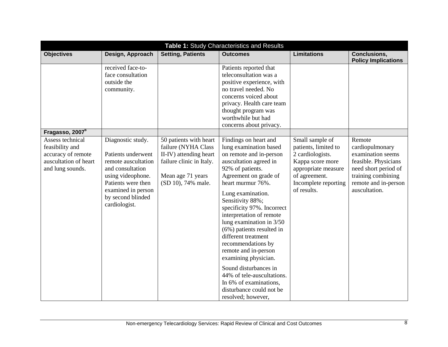| Table 1: Study Characteristics and Results                                                             |                                                                                                                                                                                           |                                                                                                                                                |                                                                                                                                                                                                                                                                                                                                                                                                                                                                                                                                                                       |                                                                                                                                                                |                                                                                                                                                               |
|--------------------------------------------------------------------------------------------------------|-------------------------------------------------------------------------------------------------------------------------------------------------------------------------------------------|------------------------------------------------------------------------------------------------------------------------------------------------|-----------------------------------------------------------------------------------------------------------------------------------------------------------------------------------------------------------------------------------------------------------------------------------------------------------------------------------------------------------------------------------------------------------------------------------------------------------------------------------------------------------------------------------------------------------------------|----------------------------------------------------------------------------------------------------------------------------------------------------------------|---------------------------------------------------------------------------------------------------------------------------------------------------------------|
| <b>Objectives</b>                                                                                      | Design, Approach                                                                                                                                                                          | <b>Setting, Patients</b>                                                                                                                       | <b>Outcomes</b>                                                                                                                                                                                                                                                                                                                                                                                                                                                                                                                                                       | <b>Limitations</b>                                                                                                                                             | <b>Conclusions,</b><br><b>Policy Implications</b>                                                                                                             |
|                                                                                                        | received face-to-<br>face consultation<br>outside the<br>community.                                                                                                                       |                                                                                                                                                | Patients reported that<br>teleconsultation was a<br>positive experience, with<br>no travel needed. No<br>concerns voiced about<br>privacy. Health care team<br>thought program was<br>worthwhile but had<br>concerns about privacy.                                                                                                                                                                                                                                                                                                                                   |                                                                                                                                                                |                                                                                                                                                               |
| Fragasso, 2007 <sup>6</sup>                                                                            |                                                                                                                                                                                           |                                                                                                                                                |                                                                                                                                                                                                                                                                                                                                                                                                                                                                                                                                                                       |                                                                                                                                                                |                                                                                                                                                               |
| Assess technical<br>feasibility and<br>accuracy of remote<br>auscultation of heart<br>and lung sounds. | Diagnostic study.<br>Patients underwent<br>remote auscultation<br>and consultation<br>using videophone.<br>Patients were then<br>examined in person<br>by second blinded<br>cardiologist. | 50 patients with heart<br>failure (NYHA Class<br>II-IV) attending heart<br>failure clinic in Italy.<br>Mean age 71 years<br>(SD 10), 74% male. | Findings on heart and<br>lung examination based<br>on remote and in-person<br>auscultation agreed in<br>92% of patients.<br>Agreement on grade of<br>heart murmur 76%.<br>Lung examination.<br>Sensitivity 88%;<br>specificity 97%. Incorrect<br>interpretation of remote<br>lung examination in 3/50<br>$(6\%)$ patients resulted in<br>different treatment<br>recommendations by<br>remote and in-person<br>examining physician.<br>Sound disturbances in<br>44% of tele-auscultations.<br>In 6% of examinations,<br>disturbance could not be<br>resolved; however, | Small sample of<br>patients, limited to<br>2 cardiologists.<br>Kappa score more<br>appropriate measure<br>of agreement.<br>Incomplete reporting<br>of results. | Remote<br>cardiopulmonary<br>examination seems<br>feasible. Physicians<br>need short period of<br>training combining<br>remote and in-person<br>auscultation. |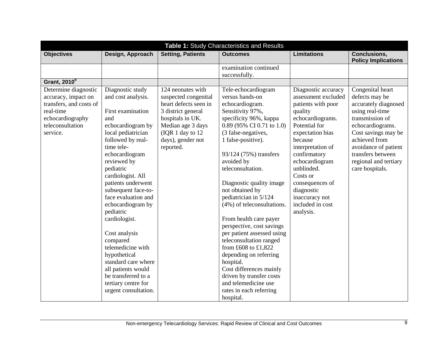| Table 1: Study Characteristics and Results                                                                                              |                                                                                                                                                                                                                                                                                                                                                                                                                                                                                                                                 |                                                                                                                                                                                          |                                                                                                                                                                                                                                                                                                                                                                                                                                                                                                                                                                                                                                                           |                                                                                                                                                                                                                                                                                                                      |                                                                                                                                                                                                                                                       |
|-----------------------------------------------------------------------------------------------------------------------------------------|---------------------------------------------------------------------------------------------------------------------------------------------------------------------------------------------------------------------------------------------------------------------------------------------------------------------------------------------------------------------------------------------------------------------------------------------------------------------------------------------------------------------------------|------------------------------------------------------------------------------------------------------------------------------------------------------------------------------------------|-----------------------------------------------------------------------------------------------------------------------------------------------------------------------------------------------------------------------------------------------------------------------------------------------------------------------------------------------------------------------------------------------------------------------------------------------------------------------------------------------------------------------------------------------------------------------------------------------------------------------------------------------------------|----------------------------------------------------------------------------------------------------------------------------------------------------------------------------------------------------------------------------------------------------------------------------------------------------------------------|-------------------------------------------------------------------------------------------------------------------------------------------------------------------------------------------------------------------------------------------------------|
| <b>Objectives</b>                                                                                                                       | Design, Approach                                                                                                                                                                                                                                                                                                                                                                                                                                                                                                                | <b>Setting, Patients</b>                                                                                                                                                                 | <b>Outcomes</b>                                                                                                                                                                                                                                                                                                                                                                                                                                                                                                                                                                                                                                           | <b>Limitations</b>                                                                                                                                                                                                                                                                                                   | <b>Conclusions,</b><br><b>Policy Implications</b>                                                                                                                                                                                                     |
|                                                                                                                                         |                                                                                                                                                                                                                                                                                                                                                                                                                                                                                                                                 |                                                                                                                                                                                          | examination continued<br>successfully.                                                                                                                                                                                                                                                                                                                                                                                                                                                                                                                                                                                                                    |                                                                                                                                                                                                                                                                                                                      |                                                                                                                                                                                                                                                       |
| <b>Grant, 2010</b> <sup>8</sup>                                                                                                         |                                                                                                                                                                                                                                                                                                                                                                                                                                                                                                                                 |                                                                                                                                                                                          |                                                                                                                                                                                                                                                                                                                                                                                                                                                                                                                                                                                                                                                           |                                                                                                                                                                                                                                                                                                                      |                                                                                                                                                                                                                                                       |
| Determine diagnostic<br>accuracy, impact on<br>transfers, and costs of<br>real-time<br>echocardiography<br>teleconsultation<br>service. | Diagnostic study<br>and cost analysis.<br>First examination<br>and<br>echocardiogram by<br>local pediatrician<br>followed by real-<br>time tele-<br>echocardiogram<br>reviewed by<br>pediatric<br>cardiologist. All<br>patients underwent<br>subsequent face-to-<br>face evaluation and<br>echocardiogram by<br>pediatric<br>cardiologist.<br>Cost analysis<br>compared<br>telemedicine with<br>hypothetical<br>standard care where<br>all patients would<br>be transferred to a<br>tertiary centre for<br>urgent consultation. | 124 neonates with<br>suspected congenital<br>heart defects seen in<br>3 district general<br>hospitals in UK.<br>Median age 3 days<br>(IQR 1 day to 12)<br>days), gender not<br>reported. | Tele-echocardiogram<br>versus hands-on<br>echocardiogram.<br>Sensitivity 97%,<br>specificity 96%, kappa<br>0.89 (95% CI 0.71 to 1.0)<br>(3 false-negatives,<br>1 false-positive).<br>93/124 (75%) transfers<br>avoided by<br>teleconsultation.<br>Diagnostic quality image<br>not obtained by<br>pediatrician in 5/124<br>(4%) of teleconsultations.<br>From health care payer<br>perspective, cost savings<br>per patient assessed using<br>teleconsultation ranged<br>from £608 to £1,822<br>depending on referring<br>hospital.<br>Cost differences mainly<br>driven by transfer costs<br>and telemedicine use<br>rates in each referring<br>hospital. | Diagnostic accuracy<br>assessment excluded<br>patients with poor<br>quality<br>echocardiograms.<br>Potential for<br>expectation bias<br>because<br>interpretation of<br>confirmatory<br>echocardiogram<br>unblinded.<br>Costs or<br>consequences of<br>diagnostic<br>inaccuracy not<br>included in cost<br>analysis. | Congenital heart<br>defects may be<br>accurately diagnosed<br>using real-time<br>transmission of<br>echocardiograms.<br>Cost savings may be<br>achieved from<br>avoidance of patient<br>transfers between<br>regional and tertiary<br>care hospitals. |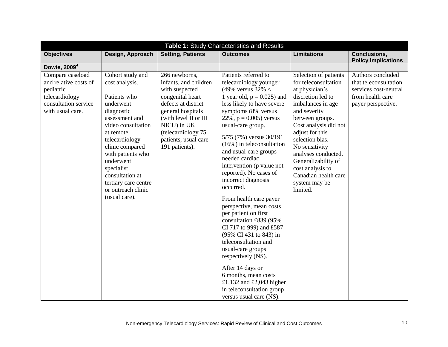| Table 1: Study Characteristics and Results                                                                           |                                                                                                                                                                                                                                                                                                           |                                                                                                                                                                                                                                  |                                                                                                                                                                                                                                                                                                                                                                                                                                                                                                                                                                                                                                                                                                                                                                                |                                                                                                                                                                                                                                                                                                                                                      |                                                                                                               |
|----------------------------------------------------------------------------------------------------------------------|-----------------------------------------------------------------------------------------------------------------------------------------------------------------------------------------------------------------------------------------------------------------------------------------------------------|----------------------------------------------------------------------------------------------------------------------------------------------------------------------------------------------------------------------------------|--------------------------------------------------------------------------------------------------------------------------------------------------------------------------------------------------------------------------------------------------------------------------------------------------------------------------------------------------------------------------------------------------------------------------------------------------------------------------------------------------------------------------------------------------------------------------------------------------------------------------------------------------------------------------------------------------------------------------------------------------------------------------------|------------------------------------------------------------------------------------------------------------------------------------------------------------------------------------------------------------------------------------------------------------------------------------------------------------------------------------------------------|---------------------------------------------------------------------------------------------------------------|
| <b>Objectives</b>                                                                                                    | Design, Approach                                                                                                                                                                                                                                                                                          | <b>Setting, Patients</b>                                                                                                                                                                                                         | <b>Outcomes</b>                                                                                                                                                                                                                                                                                                                                                                                                                                                                                                                                                                                                                                                                                                                                                                | <b>Limitations</b>                                                                                                                                                                                                                                                                                                                                   | <b>Conclusions,</b><br><b>Policy Implications</b>                                                             |
| Dowie, 2009 <sup>4</sup>                                                                                             |                                                                                                                                                                                                                                                                                                           |                                                                                                                                                                                                                                  |                                                                                                                                                                                                                                                                                                                                                                                                                                                                                                                                                                                                                                                                                                                                                                                |                                                                                                                                                                                                                                                                                                                                                      |                                                                                                               |
| Compare caseload<br>and relative costs of<br>pediatric<br>telecardiology<br>consultation service<br>with usual care. | Cohort study and<br>cost analysis.<br>Patients who<br>underwent<br>diagnostic<br>assessment and<br>video consultation<br>at remote<br>telecardiology<br>clinic compared<br>with patients who<br>underwent<br>specialist<br>consultation at<br>tertiary care centre<br>or outreach clinic<br>(usual care). | 266 newborns,<br>infants, and children<br>with suspected<br>congenital heart<br>defects at district<br>general hospitals<br>(with level II or III<br>NICU) in UK<br>(telecardiology 75<br>patients, usual care<br>191 patients). | Patients referred to<br>telecardiology younger<br>(49% versus $32\% <$<br>1 year old, $p = 0.025$ ) and<br>less likely to have severe<br>symptoms (8% versus<br>22%, $p = 0.005$ ) versus<br>usual-care group.<br>5/75 (7%) versus 30/191<br>$(16\%)$ in teleconsultation<br>and usual-care groups<br>needed cardiac<br>intervention (p value not<br>reported). No cases of<br>incorrect diagnosis<br>occurred.<br>From health care payer<br>perspective, mean costs<br>per patient on first<br>consultation £839 (95%<br>CI 717 to 999) and £587<br>(95% CI 431 to 843) in<br>teleconsultation and<br>usual-care groups<br>respectively (NS).<br>After 14 days or<br>6 months, mean costs<br>£1,132 and £2,043 higher<br>in teleconsultation group<br>versus usual care (NS). | Selection of patients<br>for teleconsultation<br>at physician's<br>discretion led to<br>imbalances in age<br>and severity<br>between groups.<br>Cost analysis did not<br>adjust for this<br>selection bias.<br>No sensitivity<br>analyses conducted.<br>Generalizability of<br>cost analysis to<br>Canadian health care<br>system may be<br>limited. | Authors concluded<br>that teleconsultation<br>services cost-neutral<br>from health care<br>payer perspective. |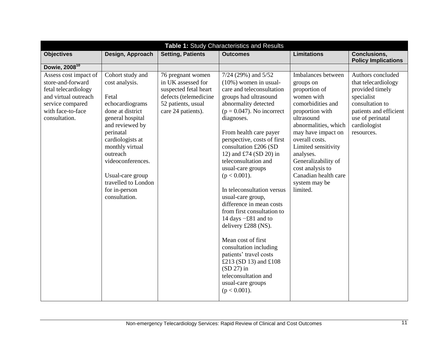| Table 1: Study Characteristics and Results                                                                                                           |                                                                                                                                                                                                                                                                                             |                                                                                                                                       |                                                                                                                                                                                                                                                                                                                                                                                                                                                                                                                                                                                                                                                                                                       |                                                                                                                                                                                                                                                                                                                          |                                                                                                                                                                          |
|------------------------------------------------------------------------------------------------------------------------------------------------------|---------------------------------------------------------------------------------------------------------------------------------------------------------------------------------------------------------------------------------------------------------------------------------------------|---------------------------------------------------------------------------------------------------------------------------------------|-------------------------------------------------------------------------------------------------------------------------------------------------------------------------------------------------------------------------------------------------------------------------------------------------------------------------------------------------------------------------------------------------------------------------------------------------------------------------------------------------------------------------------------------------------------------------------------------------------------------------------------------------------------------------------------------------------|--------------------------------------------------------------------------------------------------------------------------------------------------------------------------------------------------------------------------------------------------------------------------------------------------------------------------|--------------------------------------------------------------------------------------------------------------------------------------------------------------------------|
| <b>Objectives</b>                                                                                                                                    | Design, Approach                                                                                                                                                                                                                                                                            | <b>Setting, Patients</b>                                                                                                              | <b>Outcomes</b>                                                                                                                                                                                                                                                                                                                                                                                                                                                                                                                                                                                                                                                                                       | <b>Limitations</b>                                                                                                                                                                                                                                                                                                       | <b>Conclusions,</b><br><b>Policy Implications</b>                                                                                                                        |
| Dowie, 2008 <sup>10</sup>                                                                                                                            |                                                                                                                                                                                                                                                                                             |                                                                                                                                       |                                                                                                                                                                                                                                                                                                                                                                                                                                                                                                                                                                                                                                                                                                       |                                                                                                                                                                                                                                                                                                                          |                                                                                                                                                                          |
| Assess cost impact of<br>store-and-forward<br>fetal telecardiology<br>and virtual outreach<br>service compared<br>with face-to-face<br>consultation. | Cohort study and<br>cost analysis.<br>Fetal<br>echocardiograms<br>done at district<br>general hospital<br>and reviewed by<br>perinatal<br>cardiologists at<br>monthly virtual<br>outreach<br>videoconferences.<br>Usual-care group<br>travelled to London<br>for in-person<br>consultation. | 76 pregnant women<br>in UK assessed for<br>suspected fetal heart<br>defects (telemedicine<br>52 patients, usual<br>care 24 patients). | 7/24 (29%) and 5/52<br>$(10\%)$ women in usual-<br>care and teleconsultation<br>groups had ultrasound<br>abnormality detected<br>$(p = 0.047)$ . No incorrect<br>diagnoses.<br>From health care payer<br>perspective, costs of first<br>consultation £206 (SD<br>12) and £74 (SD 20) in<br>teleconsultation and<br>usual-care groups<br>$(p < 0.001)$ .<br>In teleconsultation versus<br>usual-care group,<br>difference in mean costs<br>from first consultation to<br>14 days -£81 and to<br>delivery £288 (NS).<br>Mean cost of first<br>consultation including<br>patients' travel costs<br>£213 (SD 13) and £108<br>$(SD 27)$ in<br>teleconsultation and<br>usual-care groups<br>$(p < 0.001)$ . | Imbalances between<br>groups on<br>proportion of<br>women with<br>comorbidities and<br>proportion with<br>ultrasound<br>abnormalities, which<br>may have impact on<br>overall costs.<br>Limited sensitivity<br>analyses.<br>Generalizability of<br>cost analysis to<br>Canadian health care<br>system may be<br>limited. | Authors concluded<br>that telecardiology<br>provided timely<br>specialist<br>consultation to<br>patients and efficient<br>use of perinatal<br>cardiologist<br>resources. |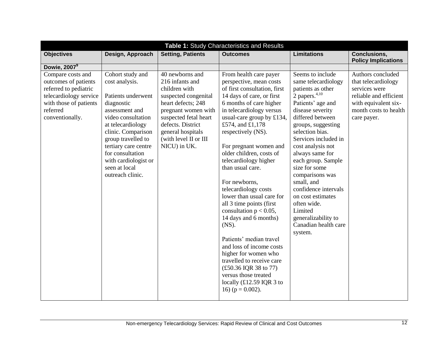| Table 1: Study Characteristics and Results                                                                                                            |                                                                                                                                                                                                                                                                                          |                                                                                                                                                                                                                                      |                                                                                                                                                                                                                                                                                                                                                                                                                                                                                                                                                                                                                                                                                                                                     |                                                                                                                                                                                                                                                                                                                                                                                                                                                                 |                                                                                                                                                     |
|-------------------------------------------------------------------------------------------------------------------------------------------------------|------------------------------------------------------------------------------------------------------------------------------------------------------------------------------------------------------------------------------------------------------------------------------------------|--------------------------------------------------------------------------------------------------------------------------------------------------------------------------------------------------------------------------------------|-------------------------------------------------------------------------------------------------------------------------------------------------------------------------------------------------------------------------------------------------------------------------------------------------------------------------------------------------------------------------------------------------------------------------------------------------------------------------------------------------------------------------------------------------------------------------------------------------------------------------------------------------------------------------------------------------------------------------------------|-----------------------------------------------------------------------------------------------------------------------------------------------------------------------------------------------------------------------------------------------------------------------------------------------------------------------------------------------------------------------------------------------------------------------------------------------------------------|-----------------------------------------------------------------------------------------------------------------------------------------------------|
| <b>Objectives</b>                                                                                                                                     | Design, Approach                                                                                                                                                                                                                                                                         | <b>Setting, Patients</b>                                                                                                                                                                                                             | <b>Outcomes</b>                                                                                                                                                                                                                                                                                                                                                                                                                                                                                                                                                                                                                                                                                                                     | <b>Limitations</b>                                                                                                                                                                                                                                                                                                                                                                                                                                              | <b>Conclusions,</b><br><b>Policy Implications</b>                                                                                                   |
| Dowie, 2007 <sup>9</sup>                                                                                                                              |                                                                                                                                                                                                                                                                                          |                                                                                                                                                                                                                                      |                                                                                                                                                                                                                                                                                                                                                                                                                                                                                                                                                                                                                                                                                                                                     |                                                                                                                                                                                                                                                                                                                                                                                                                                                                 |                                                                                                                                                     |
| Compare costs and<br>outcomes of patients<br>referred to pediatric<br>telecardiology service<br>with those of patients<br>referred<br>conventionally. | Cohort study and<br>cost analysis.<br>Patients underwent<br>diagnostic<br>assessment and<br>video consultation<br>at telecardiology<br>clinic. Comparison<br>group travelled to<br>tertiary care centre<br>for consultation<br>with cardiologist or<br>seen at local<br>outreach clinic. | 40 newborns and<br>216 infants and<br>children with<br>suspected congenital<br>heart defects; 248<br>pregnant women with<br>suspected fetal heart<br>defects. District<br>general hospitals<br>(with level II or III<br>NICU) in UK. | From health care payer<br>perspective, mean costs<br>of first consultation, first<br>14 days of care, or first<br>6 months of care higher<br>in telecardiology versus<br>usual-care group by £134,<br>£574, and £1,178<br>respectively (NS).<br>For pregnant women and<br>older children, costs of<br>telecardiology higher<br>than usual care.<br>For newborns,<br>telecardiology costs<br>lower than usual care for<br>all 3 time points (first<br>consultation $p < 0.05$ ,<br>14 days and 6 months)<br>(NS).<br>Patients' median travel<br>and loss of income costs<br>higher for women who<br>travelled to receive care<br>(£50.36 IQR 38 to 77)<br>versus those treated<br>locally $(£12.59$ IQR 3 to<br>16) ( $p = 0.002$ ). | Seems to include<br>same telecardiology<br>patients as other<br>2 papers. $4,10$<br>Patients' age and<br>disease severity<br>differed between<br>groups, suggesting<br>selection bias.<br>Services included in<br>cost analysis not<br>always same for<br>each group. Sample<br>size for some<br>comparisons was<br>small, and<br>confidence intervals<br>on cost estimates<br>often wide.<br>Limited<br>generalizability to<br>Canadian health care<br>system. | Authors concluded<br>that telecardiology<br>services were<br>reliable and efficient<br>with equivalent six-<br>month costs to health<br>care payer. |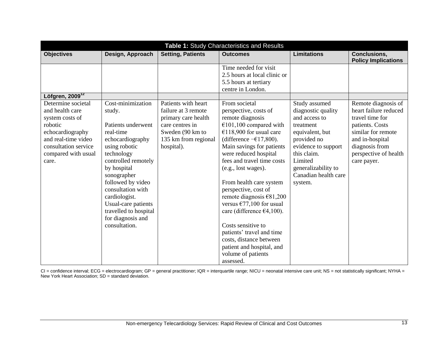| Table 1: Study Characteristics and Results                           |                                                             |                                            |                                                                                                     |                                                   |                                                   |
|----------------------------------------------------------------------|-------------------------------------------------------------|--------------------------------------------|-----------------------------------------------------------------------------------------------------|---------------------------------------------------|---------------------------------------------------|
| <b>Objectives</b>                                                    | Design, Approach                                            | <b>Setting, Patients</b>                   | <b>Outcomes</b>                                                                                     | <b>Limitations</b>                                | <b>Conclusions,</b><br><b>Policy Implications</b> |
|                                                                      |                                                             |                                            | Time needed for visit<br>2.5 hours at local clinic or<br>5.5 hours at tertiary<br>centre in London. |                                                   |                                                   |
| Löfgren, 2009 <sup>12</sup><br>Determine societal<br>and health care | Cost-minimization<br>study.                                 | Patients with heart<br>failure at 3 remote | From societal<br>perspective, costs of                                                              | Study assumed<br>diagnostic quality               | Remote diagnosis of<br>heart failure reduced      |
| system costs of                                                      |                                                             | primary care health                        | remote diagnosis                                                                                    | and access to                                     | travel time for                                   |
| robotic<br>echocardiography                                          | Patients underwent<br>real-time                             | care centres in<br>Sweden (90 km to        | $€101,100$ compared with<br>€118,900 for usual care                                                 | treatment<br>equivalent, but                      | patients. Costs<br>similar for remote             |
| and real-time video<br>consultation service                          | echocardiography<br>using robotic                           | 135 km from regional<br>hospital).         | (difference $-\epsilon$ 17,800).<br>Main savings for patients                                       | provided no<br>evidence to support<br>this claim. | and in-hospital<br>diagnosis from                 |
| compared with usual<br>care.                                         | technology<br>controlled remotely                           |                                            | were reduced hospital<br>fees and travel time costs                                                 | Limited<br>generalizability to                    | perspective of health<br>care payer.              |
|                                                                      | by hospital<br>sonographer                                  |                                            | (e.g., lost wages).                                                                                 | Canadian health care                              |                                                   |
|                                                                      | followed by video<br>consultation with                      |                                            | From health care system<br>perspective, cost of                                                     | system.                                           |                                                   |
|                                                                      | cardiologist.<br>Usual-care patients                        |                                            | remote diagnosis $€81,200$<br>versus $\epsilon$ 77,100 for usual                                    |                                                   |                                                   |
|                                                                      | travelled to hospital<br>for diagnosis and<br>consultation. |                                            | care (difference $\epsilon$ 4,100).<br>Costs sensitive to                                           |                                                   |                                                   |
|                                                                      |                                                             |                                            | patients' travel and time<br>costs, distance between                                                |                                                   |                                                   |
|                                                                      |                                                             |                                            | patient and hospital, and                                                                           |                                                   |                                                   |
|                                                                      |                                                             |                                            | volume of patients<br>assessed.                                                                     |                                                   |                                                   |

CI = confidence interval; ECG = electrocardiogram; GP = general practitioner; IQR = interquartile range; NICU = neonatal intensive care unit; NS = not statistically significant; NYHA = New York Heart Association; SD = standard deviation.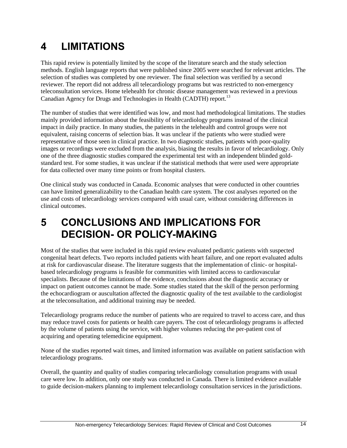### <span id="page-20-0"></span>**4 LIMITATIONS**

This rapid review is potentially limited by the scope of the literature search and the study selection methods. English language reports that were published since 2005 were searched for relevant articles. The selection of studies was completed by one reviewer. The final selection was verified by a second reviewer. The report did not address all telecardiology programs but was restricted to non-emergency teleconsultation services. Home telehealth for chronic disease management was reviewed in a previous Canadian Agency for Drugs and Technologies in Health (CADTH) report.<sup>13</sup>

The number of studies that were identified was low, and most had methodological limitations. The studies mainly provided information about the feasibility of telecardiology programs instead of the clinical impact in daily practice. In many studies, the patients in the telehealth and control groups were not equivalent, raising concerns of selection bias. It was unclear if the patients who were studied were representative of those seen in clinical practice. In two diagnostic studies, patients with poor-quality images or recordings were excluded from the analysis, biasing the results in favor of telecardiology. Only one of the three diagnostic studies compared the experimental test with an independent blinded goldstandard test. For some studies, it was unclear if the statistical methods that were used were appropriate for data collected over many time points or from hospital clusters.

One clinical study was conducted in Canada. Economic analyses that were conducted in other countries can have limited generalizability to the Canadian health care system. The cost analyses reported on the use and costs of telecardiology services compared with usual care, without considering differences in clinical outcomes.

### <span id="page-20-1"></span>**5 CONCLUSIONS AND IMPLICATIONS FOR DECISION- OR POLICY-MAKING**

Most of the studies that were included in this rapid review evaluated pediatric patients with suspected congenital heart defects. Two reports included patients with heart failure, and one report evaluated adults at risk for cardiovascular disease. The literature suggests that the implementation of clinic- or hospitalbased telecardiology programs is feasible for communities with limited access to cardiovascular specialists. Because of the limitations of the evidence, conclusions about the diagnostic accuracy or impact on patient outcomes cannot be made. Some studies stated that the skill of the person performing the echocardiogram or auscultation affected the diagnostic quality of the test available to the cardiologist at the teleconsultation, and additional training may be needed.

Telecardiology programs reduce the number of patients who are required to travel to access care, and thus may reduce travel costs for patients or health care payers. The cost of telecardiology programs is affected by the volume of patients using the service, with higher volumes reducing the per-patient cost of acquiring and operating telemedicine equipment.

None of the studies reported wait times, and limited information was available on patient satisfaction with telecardiology programs.

Overall, the quantity and quality of studies comparing telecardiology consultation programs with usual care were low. In addition, only one study was conducted in Canada. There is limited evidence available to guide decision-makers planning to implement telecardiology consultation services in the jurisdictions.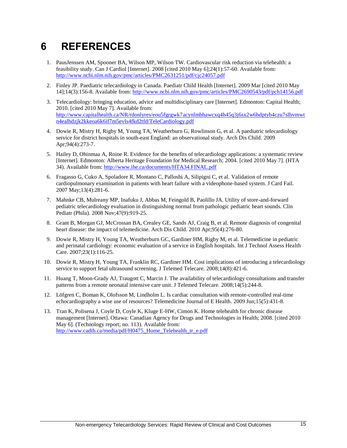### <span id="page-21-0"></span>**6 REFERENCES**

- 1. PausJenssen AM, Spooner BA, Wilson MP, Wilson TW. Cardiovascular risk reduction via telehealth: a feasibility study. Can J Cardiol [Internet]. 2008 [cited 2010 May 6];24(1):57-60. Available from: <http://www.ncbi.nlm.nih.gov/pmc/articles/PMC2631251/pdf/cjc24057.pdf>
- 2. Finley JP. Paediatric telecardiology in Canada. Paediatr Child Health [Internet]. 2009 Mar [cited 2010 May 14];14(3):156-8. Available from:<http://www.ncbi.nlm.nih.gov/pmc/articles/PMC2690543/pdf/pch14156.pdf>
- 3. Telecardiology: bringing education, advice and multidisciplinary care [Internet]. Edmonton: Capital Health; 2010. [cited 2010 May 7]. Available from: [http://www.capitalhealth.ca/NR/rdonlyres/eou5fgrgwk7acynlmbhawcxq4h45q3j6sx2w6hdptyb4czu7slhvmwt](http://www.capitalhealth.ca/NR/rdonlyres/eou5fgrgwk7acynlmbhawcxq4h45q3j6sx2w6hdptyb4czu7slhvmwtn4ealhdzjk2kkeoa6k6if7m5evls4fkd2tfd/TeleCardiology.pdf) [n4ealhdzjk2kkeoa6k6if7m5evls4fkd2tfd/TeleCardiology.pdf](http://www.capitalhealth.ca/NR/rdonlyres/eou5fgrgwk7acynlmbhawcxq4h45q3j6sx2w6hdptyb4czu7slhvmwtn4ealhdzjk2kkeoa6k6if7m5evls4fkd2tfd/TeleCardiology.pdf)
- 4. Dowie R, Mistry H, Rigby M, Young TA, Weatherburn G, Rowlinson G, et al. A paediatric telecardiology service for district hospitals in south-east England: an observational study. Arch Dis Child. 2009 Apr;94(4):273-7.
- 5. Hailey D, Ohinmaa A, Roine R. Evidence for the benefits of telecardiology applications: a systematic review [Internet]. Edmonton: Alberta Heritage Foundation for Medical Research; 2004. [cited 2010 May 7]. (HTA 34). Available from:<http://www.ihe.ca/documents/HTA34.FINAL.pdf>
- 6. Fragasso G, Cuko A, Spoladore R, Montano C, Palloshi A, Silipigni C, et al. Validation of remote cardiopulmonary examination in patients with heart failure with a videophone-based system. J Card Fail. 2007 May;13(4):281-6.
- 7. Mahnke CB, Mulreany MP, Inafuku J, Abbas M, Feingold B, Paolillo JA. Utility of store-and-forward pediatric telecardiology evaluation in distinguishing normal from pathologic pediatric heart sounds. Clin Pediatr (Phila). 2008 Nov;47(9):919-25.
- 8. Grant B, Morgan GJ, McCrossan BA, Crealey GE, Sands AJ, Craig B, et al. Remote diagnosis of congenital heart disease: the impact of telemedicine. Arch Dis Child. 2010 Apr;95(4):276-80.
- 9. Dowie R, Mistry H, Young TA, Weatherburn GC, Gardiner HM, Rigby M, et al. Telemedicine in pediatric and perinatal cardiology: economic evaluation of a service in English hospitals. Int J Technol Assess Health Care. 2007;23(1):116-25.
- 10. Dowie R, Mistry H, Young TA, Franklin RC, Gardiner HM. Cost implications of introducing a telecardiology service to support fetal ultrasound screening. J Telemed Telecare. 2008;14(8):421-6.
- 11. Huang T, Moon-Grady AJ, Traugott C, Marcin J. The availability of telecardiology consultations and transfer patterns from a remote neonatal intensive care unit. J Telemed Telecare. 2008;14(5):244-8.
- 12. Löfgren C, Boman K, Olofsson M, Lindholm L. Is cardiac consultation with remote-controlled real-time echocardiography a wise use of resources? Telemedicine Journal of E Health. 2009 Jun;15(5):431-8.
- 13. Tran K, Polisena J, Coyle D, Coyle K, Kluge E-HW, Cimon K. Home telehealth for chronic disease management [Internet]. Ottawa: Canadian Agency for Drugs and Technologies in Health; 2008. [cited 2010 May 6]. (Technology report; no. 113). Available from: [http://www.cadth.ca/media/pdf/H0475\\_Home\\_Telehealth\\_tr\\_e.pdf](http://www.cadth.ca/media/pdf/H0475_Home_Telehealth_tr_e.pdf)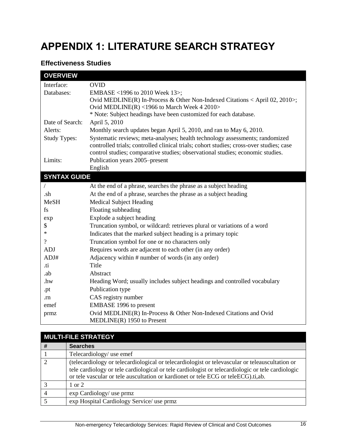# <span id="page-22-0"></span>**APPENDIX 1: LITERATURE SEARCH STRATEGY**

#### **Effectiveness Studies**

| <b>OVERVIEW</b>     |                                                                                                   |
|---------------------|---------------------------------------------------------------------------------------------------|
| Interface:          | <b>OVID</b>                                                                                       |
| Databases:          | EMBASE <1996 to 2010 Week 13>;                                                                    |
|                     | Ovid MEDLINE(R) In-Process & Other Non-Indexed Citations < April 02, 2010>;                       |
|                     | Ovid MEDLINE(R) <1966 to March Week 4 2010>                                                       |
|                     | * Note: Subject headings have been customized for each database.                                  |
| Date of Search:     | April 5, 2010                                                                                     |
| Alerts:             | Monthly search updates began April 5, 2010, and ran to May 6, 2010.                               |
| <b>Study Types:</b> | Systematic reviews; meta-analyses; health technology assessments; randomized                      |
|                     | controlled trials; controlled clinical trials; cohort studies; cross-over studies; case           |
|                     | control studies; comparative studies; observational studies; economic studies.                    |
| Limits:             | Publication years 2005–present                                                                    |
|                     | English                                                                                           |
| <b>SYNTAX GUIDE</b> |                                                                                                   |
|                     | At the end of a phrase, searches the phrase as a subject heading                                  |
| .sh                 | At the end of a phrase, searches the phrase as a subject heading                                  |
| <b>MeSH</b>         | <b>Medical Subject Heading</b>                                                                    |
| fs                  | Floating subheading                                                                               |
| exp                 | Explode a subject heading                                                                         |
| \$                  | Truncation symbol, or wildcard: retrieves plural or variations of a word                          |
| $\ast$              | Indicates that the marked subject heading is a primary topic                                      |
| $\gamma$            | Truncation symbol for one or no characters only                                                   |
| <b>ADJ</b>          | Requires words are adjacent to each other (in any order)                                          |
| ADJ#                | Adjacency within # number of words (in any order)                                                 |
| .ti                 | Title                                                                                             |
| .ab                 | Abstract                                                                                          |
| .hw                 | Heading Word; usually includes subject headings and controlled vocabulary                         |
| .pt                 | Publication type                                                                                  |
| .rn                 | CAS registry number                                                                               |
| emef                | EMBASE 1996 to present                                                                            |
| prmz                | Ovid MEDLINE(R) In-Process & Other Non-Indexed Citations and Ovid<br>$MEDLINE(R)$ 1950 to Present |

|               | <b>MULTI-FILE STRATEGY</b>                                                                                                                                                                                                                                                                |  |  |  |  |
|---------------|-------------------------------------------------------------------------------------------------------------------------------------------------------------------------------------------------------------------------------------------------------------------------------------------|--|--|--|--|
| #             | <b>Searches</b>                                                                                                                                                                                                                                                                           |  |  |  |  |
|               | Telecardiology/ use emef                                                                                                                                                                                                                                                                  |  |  |  |  |
| $\mathcal{D}$ | (telecardiology or telecardiological or telecardiologist or televascular or teleauscultation or<br>tele cardiology or tele cardiological or tele cardiologist or telecardiologic or tele cardiologic<br>or tele vascular or tele auscultation or kardionet or tele ECG or teleECG).ti,ab. |  |  |  |  |
|               | 1 or 2                                                                                                                                                                                                                                                                                    |  |  |  |  |
|               | exp Cardiology/ use prmz                                                                                                                                                                                                                                                                  |  |  |  |  |
|               | exp Hospital Cardiology Service/ use prmz                                                                                                                                                                                                                                                 |  |  |  |  |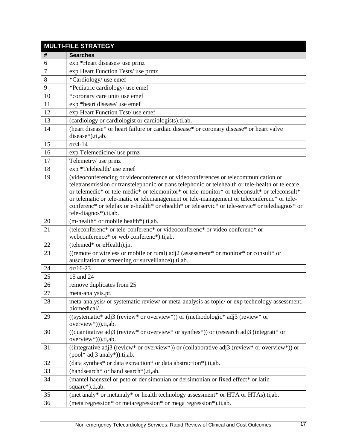| <b>MULTI-FILE STRATEGY</b> |                                                                                                                                                                                                   |  |
|----------------------------|---------------------------------------------------------------------------------------------------------------------------------------------------------------------------------------------------|--|
| #                          | <b>Searches</b>                                                                                                                                                                                   |  |
| 6                          | exp *Heart diseases/ use prmz                                                                                                                                                                     |  |
| $\tau$                     | exp Heart Function Tests/ use prmz                                                                                                                                                                |  |
| 8                          | *Cardiology/ use emef                                                                                                                                                                             |  |
| 9                          | *Pediatric cardiology/ use emef                                                                                                                                                                   |  |
| 10                         | *coronary care unit/ use emef                                                                                                                                                                     |  |
| 11                         | exp *heart disease/ use emef                                                                                                                                                                      |  |
| 12                         | exp Heart Function Test/ use emef                                                                                                                                                                 |  |
| 13                         | (cardiology or cardiologist or cardiologists).ti,ab.                                                                                                                                              |  |
| 14                         | (heart disease* or heart failure or cardiac disease* or coronary disease* or heart valve<br>disease*).ti,ab.                                                                                      |  |
| 15                         | $or/4-14$                                                                                                                                                                                         |  |
| 16                         | exp Telemedicine/ use prmz                                                                                                                                                                        |  |
| 17                         | Telemetry/ use prmz                                                                                                                                                                               |  |
| 18                         | exp *Telehealth/ use emef                                                                                                                                                                         |  |
| 19                         | (videoconferencing or videoconference or videoconferences or telecommunication or                                                                                                                 |  |
|                            | teletransmission or transtelephonic or trans telephonic or telehealth or tele-health or telecare<br>or telemedic* or tele-medic* or telemonitor* or tele-monitor* or teleconsult* or teleconsult* |  |
|                            | or telematic or tele-matic or telemanagement or tele-management or teleconferenc* or tele-                                                                                                        |  |
|                            | conferenc* or telefax or e-health* or ehealth* or teleservic* or tele-servic* or telediagnos* or                                                                                                  |  |
|                            | tele-diagnos*).ti,ab.                                                                                                                                                                             |  |
| 20                         | (m-health* or mobile health*).ti,ab.                                                                                                                                                              |  |
| 21                         | (teleconferenc* or tele-conferenc* or videoconferenc* or video conferenc* or<br>webconference* or web conferenc*).ti,ab.                                                                          |  |
| 22                         | (telemed* or eHealth).jn.                                                                                                                                                                         |  |
| 23                         | ((remote or wireless or mobile or rural) adj2 (assessment* or monitor* or consult* or                                                                                                             |  |
|                            | auscultation or screening or surveillance)).ti,ab.                                                                                                                                                |  |
| 24                         | $or/16-23$                                                                                                                                                                                        |  |
| 25                         | 15 and 24                                                                                                                                                                                         |  |
| 26                         | remove duplicates from 25                                                                                                                                                                         |  |
| 27                         | meta-analysis.pt.                                                                                                                                                                                 |  |
| 28                         | meta-analysis/ or systematic review/ or meta-analysis as topic/ or exp technology assessment,<br>biomedical/                                                                                      |  |
| 29                         | ((systematic* adj3 (review* or overview*)) or (methodologic* adj3 (review* or<br>overview*))).ti,ab.                                                                                              |  |
| 30                         | ((quantitative adj3 (review* or overview* or synthes*)) or (research adj3 (integrati* or<br>overview*))).ti,ab.                                                                                   |  |
| 31                         | ((integrative adj3 (review* or overview*)) or (collaborative adj3 (review* or overview*)) or<br>$(pool* adj3$ analy*)).ti,ab.                                                                     |  |
| 32                         | (data synthes* or data extraction* or data abstraction*).ti,ab.                                                                                                                                   |  |
| 33                         | (handsearch* or hand search*).ti,ab.                                                                                                                                                              |  |
| 34                         | (mantel haenszel or peto or der simonian or dersimonian or fixed effect* or latin                                                                                                                 |  |
|                            | square*).ti,ab.                                                                                                                                                                                   |  |
| 35                         | (met analy* or metanaly* or health technology assessment* or HTA or HTAs).ti,ab.                                                                                                                  |  |
| 36                         | (meta regression* or metaregression* or mega regression*).ti,ab.                                                                                                                                  |  |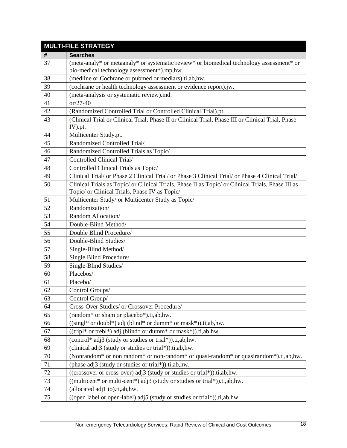| <b>MULTI-FILE STRATEGY</b> |                                                                                                                                                    |  |
|----------------------------|----------------------------------------------------------------------------------------------------------------------------------------------------|--|
| #                          | <b>Searches</b>                                                                                                                                    |  |
| 37                         | (meta-analy* or metaanaly* or systematic review* or biomedical technology assessment* or                                                           |  |
|                            | bio-medical technology assessment*).mp,hw.                                                                                                         |  |
| 38                         | (medline or Cochrane or pubmed or medlars).ti,ab,hw.                                                                                               |  |
| 39                         | (cochrane or health technology assessment or evidence report).jw.                                                                                  |  |
| 40                         | (meta-analysis or systematic review).md.                                                                                                           |  |
| 41                         | $or/27-40$                                                                                                                                         |  |
| 42                         | (Randomized Controlled Trial or Controlled Clinical Trial).pt.                                                                                     |  |
| 43                         | (Clinical Trial or Clinical Trial, Phase II or Clinical Trial, Phase III or Clinical Trial, Phase                                                  |  |
|                            | IV).pt.                                                                                                                                            |  |
| 44                         | Multicenter Study.pt.                                                                                                                              |  |
| 45                         | Randomized Controlled Trial/                                                                                                                       |  |
| 46                         | Randomized Controlled Trials as Topic/                                                                                                             |  |
| 47                         | Controlled Clinical Trial/                                                                                                                         |  |
| 48                         | Controlled Clinical Trials as Topic/                                                                                                               |  |
| 49                         | Clinical Trial/ or Phase 2 Clinical Trial/ or Phase 3 Clinical Trial/ or Phase 4 Clinical Trial/                                                   |  |
| 50                         | Clinical Trials as Topic/ or Clinical Trials, Phase II as Topic/ or Clinical Trials, Phase III as                                                  |  |
|                            | Topic/ or Clinical Trials, Phase IV as Topic/                                                                                                      |  |
| 51                         | Multicenter Study/ or Multicenter Study as Topic/                                                                                                  |  |
| 52                         | Randomization/                                                                                                                                     |  |
| 53                         | Random Allocation/                                                                                                                                 |  |
| 54                         | Double-Blind Method/                                                                                                                               |  |
| 55                         | Double Blind Procedure/                                                                                                                            |  |
| 56                         | Double-Blind Studies/                                                                                                                              |  |
| 57                         | Single-Blind Method/                                                                                                                               |  |
| 58                         | Single Blind Procedure/                                                                                                                            |  |
| 59                         | Single-Blind Studies/                                                                                                                              |  |
| 60                         | Placebos/                                                                                                                                          |  |
| 61                         | Placebo/                                                                                                                                           |  |
| 62                         | Control Groups/                                                                                                                                    |  |
| 63                         | Control Group/                                                                                                                                     |  |
| 64                         | Cross-Over Studies/ or Crossover Procedure/                                                                                                        |  |
| 65                         | (random <sup>*</sup> or sham or placebo <sup>*</sup> ).ti,ab,hw.                                                                                   |  |
| 66                         | $((\text{singl* or double*})$ adj (blind* or dumm* or mask*)).ti,ab,hw.                                                                            |  |
| 67                         | $((tripl* or trebl*) adj (blind* or dummy* or mask*)).ti, ab, hw.$                                                                                 |  |
| 68                         | (control* adj3 (study or studies or trial*)).ti,ab,hw.                                                                                             |  |
| 69                         | (clinical adj3 (study or studies or trial*)).ti,ab,hw.                                                                                             |  |
| 70                         | (Nonrandom <sup>*</sup> or non random <sup>*</sup> or non-random <sup>*</sup> or quasi-random <sup>*</sup> or quasirandom <sup>*</sup> ).ti,ab,hw. |  |
| $71\,$                     | (phase adj3 (study or studies or trial*)).ti,ab,hw.                                                                                                |  |
| 72                         | ((crossover or cross-over) adj3 (study or studies or trial*)).ti,ab,hw.                                                                            |  |
| 73                         | ((multicent* or multi-cent*) adj3 (study or studies or trial*)).ti,ab,hw.                                                                          |  |
| 74                         | (allocated adj1 to).ti,ab,hw.                                                                                                                      |  |
| 75                         | ((open label or open-label) adj5 (study or studies or trial*)).ti,ab,hw.                                                                           |  |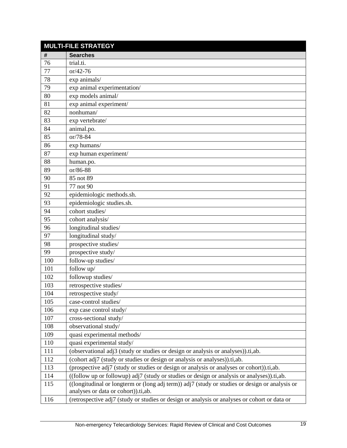|     | <b>MULTI-FILE STRATEGY</b>                                                                                                            |  |  |  |  |
|-----|---------------------------------------------------------------------------------------------------------------------------------------|--|--|--|--|
| #   | <b>Searches</b>                                                                                                                       |  |  |  |  |
| 76  | trial.ti.                                                                                                                             |  |  |  |  |
| 77  | $or/42-76$                                                                                                                            |  |  |  |  |
| 78  | exp animals/                                                                                                                          |  |  |  |  |
| 79  | exp animal experimentation/                                                                                                           |  |  |  |  |
| 80  | exp models animal/                                                                                                                    |  |  |  |  |
| 81  | exp animal experiment/                                                                                                                |  |  |  |  |
| 82  | nonhuman/                                                                                                                             |  |  |  |  |
| 83  | exp vertebrate/                                                                                                                       |  |  |  |  |
| 84  | animal.po.                                                                                                                            |  |  |  |  |
| 85  | or/78-84                                                                                                                              |  |  |  |  |
| 86  | exp humans/                                                                                                                           |  |  |  |  |
| 87  | exp human experiment/                                                                                                                 |  |  |  |  |
| 88  | human.po.                                                                                                                             |  |  |  |  |
| 89  | or/86-88                                                                                                                              |  |  |  |  |
| 90  | 85 not 89                                                                                                                             |  |  |  |  |
| 91  | 77 not 90                                                                                                                             |  |  |  |  |
| 92  | epidemiologic methods.sh.                                                                                                             |  |  |  |  |
| 93  | epidemiologic studies.sh.                                                                                                             |  |  |  |  |
| 94  | cohort studies/                                                                                                                       |  |  |  |  |
| 95  | cohort analysis/                                                                                                                      |  |  |  |  |
| 96  | longitudinal studies/                                                                                                                 |  |  |  |  |
| 97  | longitudinal study/                                                                                                                   |  |  |  |  |
| 98  | prospective studies/                                                                                                                  |  |  |  |  |
| 99  | prospective study/                                                                                                                    |  |  |  |  |
| 100 | follow-up studies/                                                                                                                    |  |  |  |  |
| 101 | follow up/                                                                                                                            |  |  |  |  |
| 102 | followup studies/                                                                                                                     |  |  |  |  |
| 103 | retrospective studies/                                                                                                                |  |  |  |  |
| 104 | retrospective study/                                                                                                                  |  |  |  |  |
| 105 | case-control studies/                                                                                                                 |  |  |  |  |
| 106 | exp case control study/                                                                                                               |  |  |  |  |
| 107 | cross-sectional study/                                                                                                                |  |  |  |  |
| 108 | observational study/                                                                                                                  |  |  |  |  |
| 109 | quasi experimental methods/                                                                                                           |  |  |  |  |
| 110 | quasi experimental study/                                                                                                             |  |  |  |  |
| 111 | (observational adj3 (study or studies or design or analysis or analyses)).ti,ab.                                                      |  |  |  |  |
| 112 | (cohort adj7 (study or studies or design or analysis or analyses)).ti,ab.                                                             |  |  |  |  |
| 113 | (prospective adj7 (study or studies or design or analysis or analyses or cohort)).ti,ab.                                              |  |  |  |  |
| 114 | ((follow up or followup) adj7 (study or studies or design or analysis or analyses)).ti,ab.                                            |  |  |  |  |
| 115 | ((longitudinal or longterm or (long adj term)) adj7 (study or studies or design or analysis or<br>analyses or data or cohort)).ti,ab. |  |  |  |  |
| 116 | (retrospective adj7 (study or studies or design or analysis or analyses or cohort or data or                                          |  |  |  |  |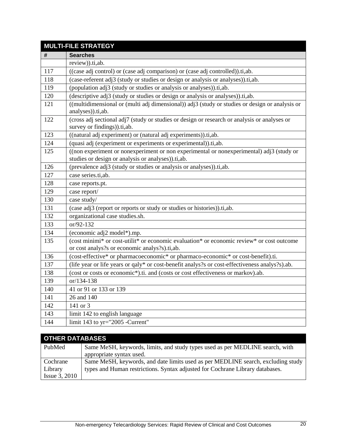| <b>MULTI-FILE STRATEGY</b> |                                                                                                                                                |  |  |
|----------------------------|------------------------------------------------------------------------------------------------------------------------------------------------|--|--|
| #                          | <b>Searches</b>                                                                                                                                |  |  |
|                            | review)).ti,ab.                                                                                                                                |  |  |
| 117                        | ((case adj control) or (case adj comparison) or (case adj controlled)).ti,ab.                                                                  |  |  |
| 118                        | (case-referent adj3 (study or studies or design or analysis or analyses)).ti,ab.                                                               |  |  |
| 119                        | (population adj3 (study or studies or analysis or analyses)).ti,ab.                                                                            |  |  |
| 120                        | (descriptive adj3 (study or studies or design or analysis or analyses)).ti,ab.                                                                 |  |  |
| 121                        | ((multidimensional or (multi adj dimensional)) adj3 (study or studies or design or analysis or<br>analyses)).ti,ab.                            |  |  |
| 122                        | (cross adj sectional adj7 (study or studies or design or research or analysis or analyses or<br>survey or findings)).ti,ab.                    |  |  |
| 123                        | ((natural adj experiment) or (natural adj experiments)).ti,ab.                                                                                 |  |  |
| 124                        | (quasi adj (experiment or experiments or experimental)).ti,ab.                                                                                 |  |  |
| 125                        | ((non experiment or nonexperiment or non experimental or nonexperimental) adj3 (study or<br>studies or design or analysis or analyses)).ti,ab. |  |  |
| 126                        | (prevalence adj3 (study or studies or analysis or analyses)).ti,ab.                                                                            |  |  |
| 127                        | case series.ti,ab.                                                                                                                             |  |  |
| 128                        | case reports.pt.                                                                                                                               |  |  |
| 129                        | case report/                                                                                                                                   |  |  |
| 130                        | case study/                                                                                                                                    |  |  |
| 131                        | (case adj3 (report or reports or study or studies or histories)).ti,ab.                                                                        |  |  |
| 132                        | organizational case studies.sh.                                                                                                                |  |  |
| 133                        | or/92-132                                                                                                                                      |  |  |
| 134                        | (economic adj2 model*).mp.                                                                                                                     |  |  |
| 135                        | (cost minimi* or cost-utilit* or economic evaluation* or economic review* or cost outcome<br>or cost analys?s or economic analys?s).ti,ab.     |  |  |
| 136                        | (cost-effective* or pharmacoeconomic* or pharmaco-economic* or cost-benefit).ti.                                                               |  |  |
| 137                        | (life year or life years or qaly* or cost-benefit analys?s or cost-effectiveness analys?s).ab.                                                 |  |  |
| 138                        | (cost or costs or economic*).ti. and (costs or cost effectiveness or markov).ab.                                                               |  |  |
| 139                        | or/134-138                                                                                                                                     |  |  |
| 140                        | 41 or 91 or 133 or 139                                                                                                                         |  |  |
| 141                        | 26 and 140                                                                                                                                     |  |  |
| 142                        | 141 or 3                                                                                                                                       |  |  |
| 143                        | limit 142 to english language                                                                                                                  |  |  |
| 144                        | limit 143 to yr="2005 -Current"                                                                                                                |  |  |

| <b>OTHER DATABASES</b> |                                                                                  |  |
|------------------------|----------------------------------------------------------------------------------|--|
| PubMed                 | Same MeSH, keywords, limits, and study types used as per MEDLINE search, with    |  |
|                        | appropriate syntax used.                                                         |  |
| Cochrane               | Same MeSH, keywords, and date limits used as per MEDLINE search, excluding study |  |
| Library                | types and Human restrictions. Syntax adjusted for Cochrane Library databases.    |  |
| <b>Issue 3, 2010</b>   |                                                                                  |  |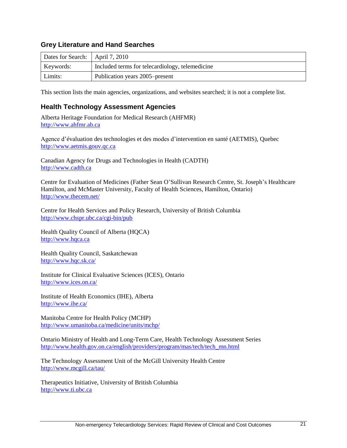#### **Grey Literature and Hand Searches**

| Dates for Search:   April 7, 2010 |                                                 |
|-----------------------------------|-------------------------------------------------|
| Keywords:                         | Included terms for telecardiology, telemedicine |
| Limits:                           | Publication years 2005–present                  |

This section lists the main agencies, organizations, and websites searched; it is not a complete list.

#### **Health Technology Assessment Agencies**

Alberta Heritage Foundation for Medical Research (AHFMR) [http://www.ahfmr.ab.ca](http://www.ahfmr.ab.ca/) 

Agence d'évaluation des technologies et des modes d'intervention en santé (AETMIS), Quebec [http://www.aetmis.gouv.qc.ca](http://www.aetmis.gouv.qc.ca/)

Canadian Agency for Drugs and Technologies in Health (CADTH) [http://www.cadth.ca](http://www.cadth.ca/)

Centre for Evaluation of Medicines (Father Sean O'Sullivan Research Centre, St. Joseph's Healthcare Hamilton, and McMaster University, Faculty of Health Sciences, Hamilton, Ontario) <http://www.thecem.net/>

Centre for Health Services and Policy Research, University of British Columbia <http://www.chspr.ubc.ca/cgi-bin/pub>

Health Quality Council of Alberta (HQCA) [http://www.hqca.ca](http://www.hqca.ca/)

Health Quality Council, Saskatchewan <http://www.hqc.sk.ca/>

Institute for Clinical Evaluative Sciences (ICES), Ontario <http://www.ices.on.ca/>

Institute of Health Economics (IHE), Alberta <http://www.ihe.ca/>

Manitoba Centre for Health Policy (MCHP) <http://www.umanitoba.ca/medicine/units/mchp/>

Ontario Ministry of Health and Long-Term Care, Health Technology Assessment Series [http://www.health.gov.on.ca/english/providers/program/mas/tech/tech\\_mn.html](http://www.health.gov.on.ca/english/providers/program/mas/tech/tech_mn.html)

The Technology Assessment Unit of the McGill University Health Centre <http://www.mcgill.ca/tau/>

Therapeutics Initiative, University of British Columbia [http://www.ti.ubc.ca](http://www.ti.ubc.ca/)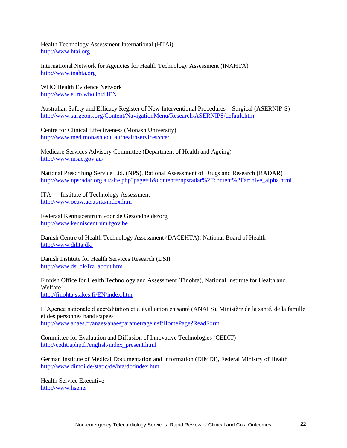Health Technology Assessment International (HTAi) [http://www.htai.org](http://www.htai.org/)

International Network for Agencies for Health Technology Assessment (INAHTA) [http://www.inahta.org](http://www.inahta.org/)

WHO Health Evidence Network <http://www.euro.who.int/HEN>

Australian Safety and Efficacy Register of New Interventional Procedures – Surgical (ASERNIP-S) <http://www.surgeons.org/Content/NavigationMenu/Research/ASERNIPS/default.htm>

Centre for Clinical Effectiveness (Monash University) <http://www.med.monash.edu.au/healthservices/cce/>

Medicare Services Advisory Committee (Department of Health and Ageing) <http://www.msac.gov.au/>

National Prescribing Service Ltd. (NPS), Rational Assessment of Drugs and Research (RADAR) [http://www.npsradar.org.au/site.php?page=1&content=/npsradar%2Fcontent%2Farchive\\_alpha.html](http://www.npsradar.org.au/site.php?page=1&content=/npsradar%2Fcontent%2Farchive_alpha.html)

ITA — Institute of Technology Assessment <http://www.oeaw.ac.at/ita/index.htm>

Federaal Kenniscentrum voor de Gezondheidszorg [http://www.kenniscentrum.fgov.be](http://www.kenniscentrum.fgov.be/)

Danish Centre of Health Technology Assessment (DACEHTA), National Board of Health <http://www.dihta.dk/>

Danish Institute for Health Services Research (DSI) [http://www.dsi.dk/frz\\_about.htm](http://www.dsi.dk/frz_about.htm)

Finnish Office for Health Technology and Assessment (Finohta), National Institute for Health and Welfare <http://finohta.stakes.fi/EN/index.htm>

L'Agence nationale d'accréditation et d'évaluation en santé (ANAES), Ministère de la santé, de la famille et des personnes handicapées <http://www.anaes.fr/anaes/anaesparametrage.nsf/HomePage?ReadForm>

Committee for Evaluation and Diffusion of Innovative Technologies (CEDIT) [http://cedit.aphp.fr/english/index\\_present.html](http://cedit.aphp.fr/english/index_present.html)

German Institute of Medical Documentation and Information (DIMDI), Federal Ministry of Health <http://www.dimdi.de/static/de/hta/db/index.htm>

Health Service Executive <http://www.hse.ie/>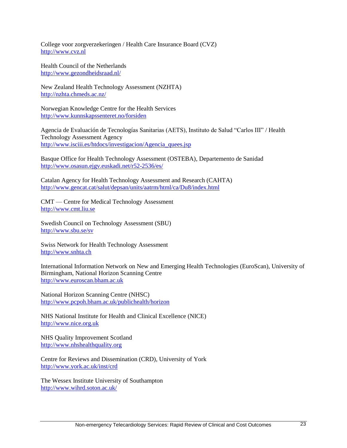College voor zorgverzekeringen / Health Care Insurance Board (CVZ) [http://www.cvz.nl](http://www.cvz.nl/)

Health Council of the Netherlands <http://www.gezondheidsraad.nl/>

New Zealand Health Technology Assessment (NZHTA) <http://nzhta.chmeds.ac.nz/>

Norwegian Knowledge Centre for the Health Services <http://www.kunnskapssenteret.no/forsiden>

Agencia de Evaluación de Tecnologías Sanitarias (AETS), Instituto de Salud "Carlos III" / Health Technology Assessment Agency [http://www.isciii.es/htdocs/investigacion/Agencia\\_quees.jsp](http://www.isciii.es/htdocs/investigacion/Agencia_quees.jsp)

Basque Office for Health Technology Assessment (OSTEBA), Departemento de Sanidad <http://www.osasun.ejgv.euskadi.net/r52-2536/es/>

Catalan Agency for Health Technology Assessment and Research (CAHTA) <http://www.gencat.cat/salut/depsan/units/aatrm/html/ca/Du8/index.html>

CMT — Centre for Medical Technology Assessment [http://www.cmt.liu.se](http://www.cmt.liu.se/)

Swedish Council on Technology Assessment (SBU) <http://www.sbu.se/sv>

Swiss Network for Health Technology Assessment [http://www.snhta.ch](http://www.snhta.ch/)

International Information Network on New and Emerging Health Technologies (EuroScan), University of Birmingham, National Horizon Scanning Centre [http://www.euroscan.bham.ac.uk](http://www.euroscan.bham.ac.uk/)

National Horizon Scanning Centre (NHSC) <http://www.pcpoh.bham.ac.uk/publichealth/horizon>

NHS National Institute for Health and Clinical Excellence (NICE) [http://www.nice.org.uk](http://www.nice.org.uk/)

NHS Quality Improvement Scotland [http://www.nhshealthquality.org](http://www.nhshealthquality.org/)

Centre for Reviews and Dissemination (CRD), University of York <http://www.york.ac.uk/inst/crd>

The Wessex Institute University of Southampton <http://www.wihrd.soton.ac.uk/>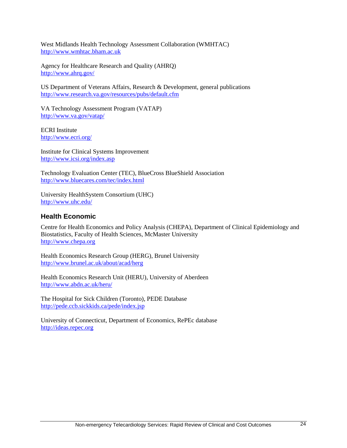West Midlands Health Technology Assessment Collaboration (WMHTAC) [http://www.wmhtac.bham.ac.uk](http://www.wmhtac.bham.ac.uk/)

Agency for Healthcare Research and Quality (AHRQ) <http://www.ahrq.gov/>

US Department of Veterans Affairs, Research & Development, general publications <http://www.research.va.gov/resources/pubs/default.cfm>

VA Technology Assessment Program (VATAP) <http://www.va.gov/vatap/>

ECRI Institute <http://www.ecri.org/>

Institute for Clinical Systems Improvement <http://www.icsi.org/index.asp>

Technology Evaluation Center (TEC), BlueCross BlueShield Association <http://www.bluecares.com/tec/index.html>

University HealthSystem Consortium (UHC) <http://www.uhc.edu/>

#### **Health Economic**

Centre for Health Economics and Policy Analysis (CHEPA), Department of Clinical Epidemiology and Biostatistics, Faculty of Health Sciences, McMaster University [http://www.chepa.org](http://www.chepa.org/)

Health Economics Research Group (HERG), Brunel University <http://www.brunel.ac.uk/about/acad/herg>

Health Economics Research Unit (HERU), University of Aberdeen <http://www.abdn.ac.uk/heru/>

The Hospital for Sick Children (Toronto), PEDE Database <http://pede.ccb.sickkids.ca/pede/index.jsp>

University of Connecticut, Department of Economics, RePEc database [http://ideas.repec.org](http://ideas.repec.org/)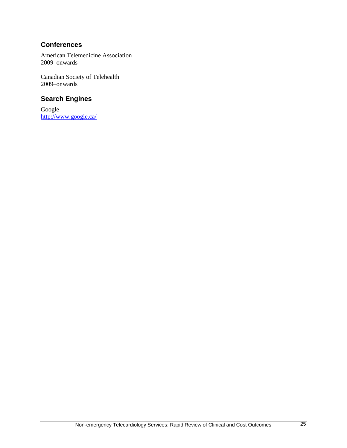#### **Conferences**

American Telemedicine Association 2009–onwards

Canadian Society of Telehealth 2009–onwards

### **Search Engines**

Google <http://www.google.ca/>